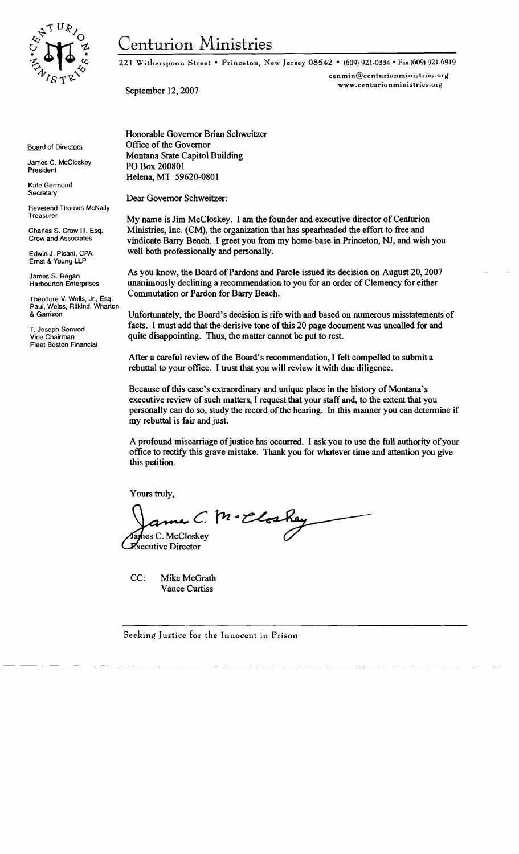

# Centurion Ministries

221 Wi therspoon Street • Princeton, New Jersey 08542 • (609) 921-0334 • Fax (609) 921-6919

cenmin@centurionministries.org September 12,2007 www.centurionministries.org

Honorable Governor Brian Schweitzer Office of the Governor Montana State Capitol Building PO Box 200801 Helena, MT 59620-0801

Dear Governor Schweitzer:

My name is Jim McCloskey. I am the founder and executive director of Centurion Ministries, Inc. (CM), the organization that has spearheaded the effort to free and vindicate Barry Beach. I greet you from my home-base in Princeton, NJ, and wish you well both professionally and personally.

As you know, the Board of Pardons and Parole issued its decision on August 20, 2007 unanimously declining a recommendation to you for an order of Clemency for either Commutation or Pardon for Barry Beach.

Unfortunately, the Board's decision is rife with and based on numerous misstatements of facts. I must add that the derisive tone of this 20 page document was uncalled for and quite disappointing. Thus, the matter cannot be put to rest.

After a careful review of the Board's recommendation, I felt compelled to submit a rebuttal to your office. I trust that you will review it with due diligence.

Because of this case's extraordinary and unique place in the history of Montana's executive review of such matters, I request that your staff and, to the extent that you personally can do so, study the record ofthe hearing. In this manner you can detennine if my rebuttal is fair and just.

A profound miscarriage of justice has occurred. I ask you to use the full authority of your office to rectify this grave mistake. Thank you for whatever time and attention you give this petition.

Yours truly,

ma C. M. Eloskey hes C. McCloskey

Xecutive Director

CC: Mike McGrath Vance Curtiss

Board of Directors James C. McCloskey

Kate Germond **Secretary** 

President

Reverend Thomas McNally Treasurer

Charles S. Crow III, Esq. Crow and Associates

Edwin J. Pisani, CPA Ernst & Young LLP

James S. Regan Harbourton Enterprises

Theodore V. Wells, Jr., Esq. Paul, Weiss, Rifkind, Wharton & Garrison

T. Joseph Semrod Vice Chairman Fleet Boston Financial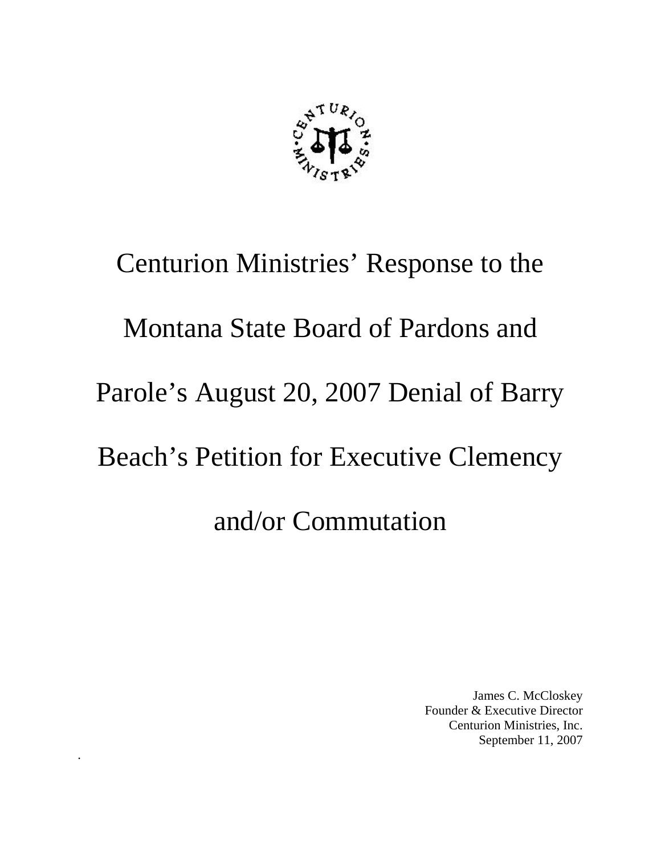

# Centurion Ministries' Response to the Montana State Board of Pardons and Parole's August 20, 2007 Denial of Barry Beach's Petition for Executive Clemency and/or Commutation

.

James C. McCloskey Founder & Executive Director Centurion Ministries, Inc. September 11, 2007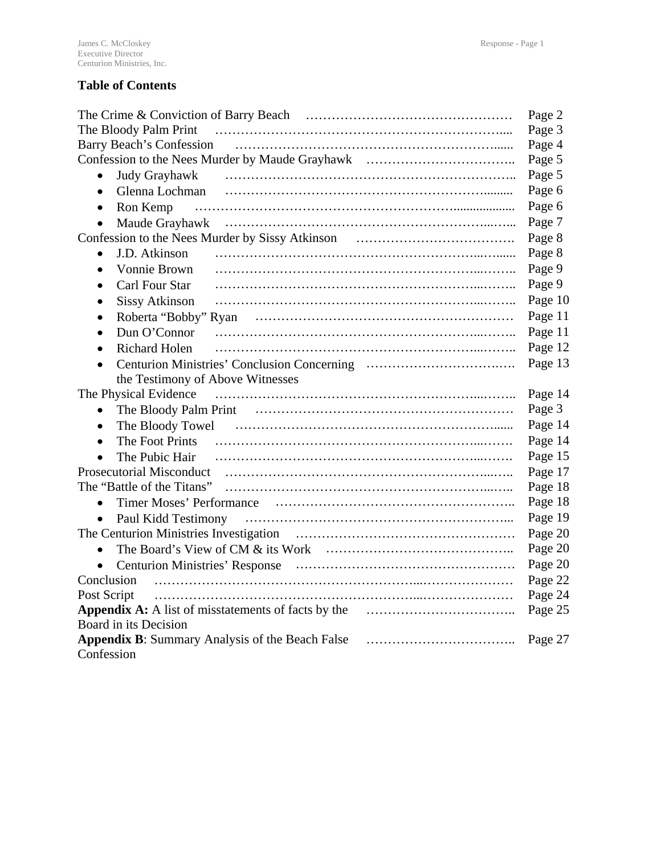# **Table of Contents**

|                                    | Page 2  |
|------------------------------------|---------|
| The Bloody Palm Print              | Page 3  |
|                                    | Page 4  |
|                                    | Page 5  |
| Judy Grayhawk<br>$\bullet$         | Page 5  |
| Glenna Lochman<br>$\bullet$        | Page 6  |
| Ron Kemp<br>$\bullet$              | Page 6  |
| $\bullet$                          | Page 7  |
|                                    | Page 8  |
| J.D. Atkinson<br>$\bullet$         | Page 8  |
| Vonnie Brown<br>$\bullet$          | Page 9  |
| Carl Four Star<br>$\bullet$        | Page 9  |
| <b>Sissy Atkinson</b><br>$\bullet$ | Page 10 |
| $\bullet$                          | Page 11 |
| Dun O'Connor<br>$\bullet$          | Page 11 |
| <b>Richard Holen</b><br>$\bullet$  | Page 12 |
| $\bullet$                          | Page 13 |
| the Testimony of Above Witnesses   |         |
| The Physical Evidence              | Page 14 |
| $\bullet$                          | Page 3  |
| $\bullet$                          | Page 14 |
| $\bullet$                          | Page 14 |
| $\bullet$                          | Page 15 |
|                                    | Page 17 |
|                                    | Page 18 |
| $\bullet$                          | Page 18 |
| $\bullet$                          | Page 19 |
|                                    | Page 20 |
| $\bullet$                          | Page 20 |
| $\bullet$                          | Page 20 |
|                                    | Page 22 |
| Post Script                        | Page 24 |
|                                    | Page 25 |
| Board in its Decision              |         |
|                                    | Page 27 |
| Confession                         |         |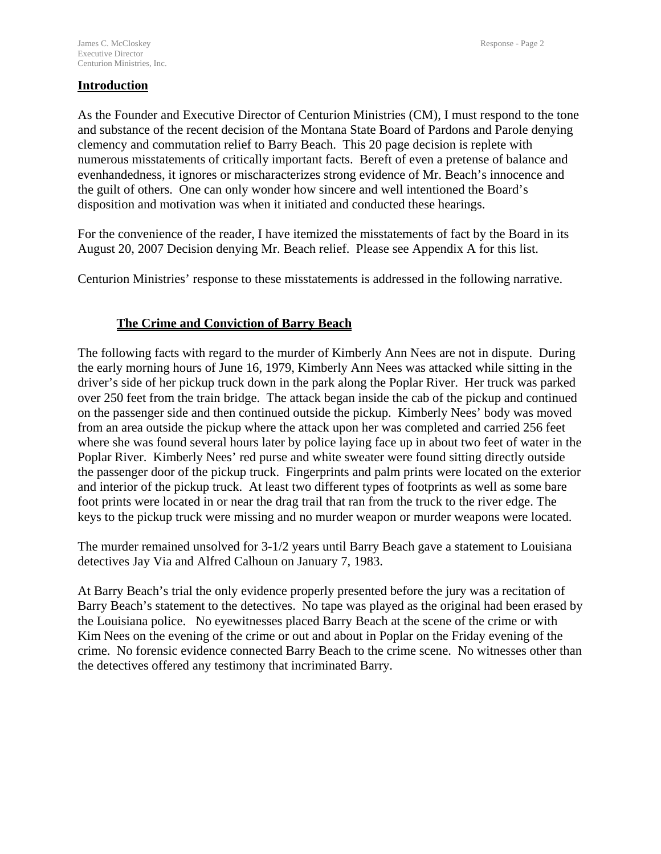#### **Introduction**

As the Founder and Executive Director of Centurion Ministries (CM), I must respond to the tone and substance of the recent decision of the Montana State Board of Pardons and Parole denying clemency and commutation relief to Barry Beach. This 20 page decision is replete with numerous misstatements of critically important facts. Bereft of even a pretense of balance and evenhandedness, it ignores or mischaracterizes strong evidence of Mr. Beach's innocence and the guilt of others. One can only wonder how sincere and well intentioned the Board's disposition and motivation was when it initiated and conducted these hearings.

For the convenience of the reader, I have itemized the misstatements of fact by the Board in its August 20, 2007 Decision denying Mr. Beach relief. Please see Appendix A for this list.

Centurion Ministries' response to these misstatements is addressed in the following narrative.

# **The Crime and Conviction of Barry Beach**

The following facts with regard to the murder of Kimberly Ann Nees are not in dispute. During the early morning hours of June 16, 1979, Kimberly Ann Nees was attacked while sitting in the driver's side of her pickup truck down in the park along the Poplar River. Her truck was parked over 250 feet from the train bridge. The attack began inside the cab of the pickup and continued on the passenger side and then continued outside the pickup. Kimberly Nees' body was moved from an area outside the pickup where the attack upon her was completed and carried 256 feet where she was found several hours later by police laying face up in about two feet of water in the Poplar River. Kimberly Nees' red purse and white sweater were found sitting directly outside the passenger door of the pickup truck. Fingerprints and palm prints were located on the exterior and interior of the pickup truck. At least two different types of footprints as well as some bare foot prints were located in or near the drag trail that ran from the truck to the river edge. The keys to the pickup truck were missing and no murder weapon or murder weapons were located.

The murder remained unsolved for 3-1/2 years until Barry Beach gave a statement to Louisiana detectives Jay Via and Alfred Calhoun on January 7, 1983.

At Barry Beach's trial the only evidence properly presented before the jury was a recitation of Barry Beach's statement to the detectives. No tape was played as the original had been erased by the Louisiana police. No eyewitnesses placed Barry Beach at the scene of the crime or with Kim Nees on the evening of the crime or out and about in Poplar on the Friday evening of the crime. No forensic evidence connected Barry Beach to the crime scene. No witnesses other than the detectives offered any testimony that incriminated Barry.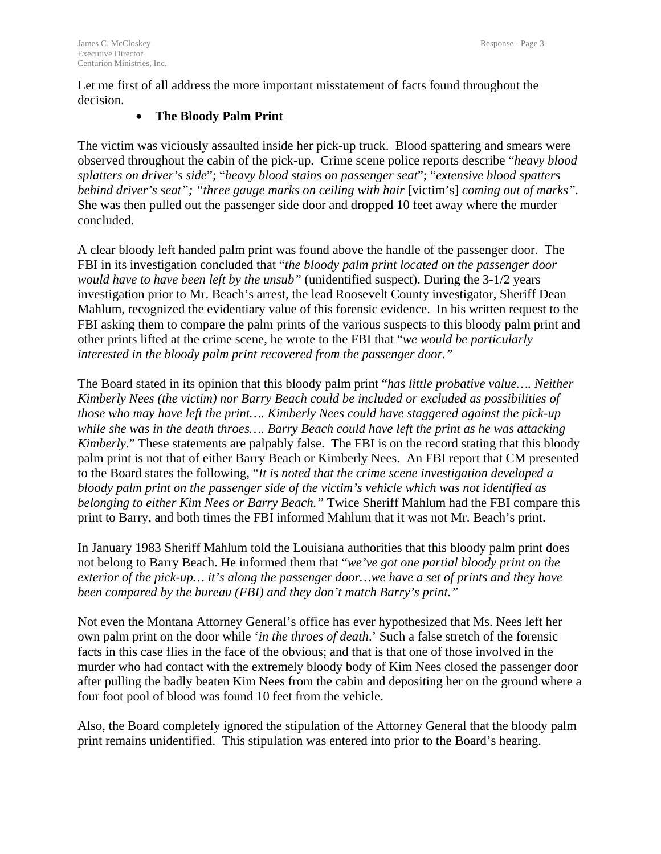Let me first of all address the more important misstatement of facts found throughout the decision.

# • **The Bloody Palm Print**

The victim was viciously assaulted inside her pick-up truck. Blood spattering and smears were observed throughout the cabin of the pick-up. Crime scene police reports describe "*heavy blood splatters on driver's side*"; "*heavy blood stains on passenger seat*"; "*extensive blood spatters behind driver's seat"; "three gauge marks on ceiling with hair* [victim's] *coming out of marks".*  She was then pulled out the passenger side door and dropped 10 feet away where the murder concluded.

A clear bloody left handed palm print was found above the handle of the passenger door. The FBI in its investigation concluded that "*the bloody palm print located on the passenger door would have to have been left by the unsub"* (unidentified suspect). During the 3-1/2 years investigation prior to Mr. Beach's arrest, the lead Roosevelt County investigator, Sheriff Dean Mahlum, recognized the evidentiary value of this forensic evidence. In his written request to the FBI asking them to compare the palm prints of the various suspects to this bloody palm print and other prints lifted at the crime scene, he wrote to the FBI that "*we would be particularly interested in the bloody palm print recovered from the passenger door."* 

The Board stated in its opinion that this bloody palm print "*has little probative value…. Neither Kimberly Nees (the victim) nor Barry Beach could be included or excluded as possibilities of those who may have left the print…. Kimberly Nees could have staggered against the pick-up while she was in the death throes…. Barry Beach could have left the print as he was attacking Kimberly.*" These statements are palpably false. The FBI is on the record stating that this bloody palm print is not that of either Barry Beach or Kimberly Nees. An FBI report that CM presented to the Board states the following, "*It is noted that the crime scene investigation developed a bloody palm print on the passenger side of the victim's vehicle which was not identified as belonging to either Kim Nees or Barry Beach."* Twice Sheriff Mahlum had the FBI compare this print to Barry, and both times the FBI informed Mahlum that it was not Mr. Beach's print.

In January 1983 Sheriff Mahlum told the Louisiana authorities that this bloody palm print does not belong to Barry Beach. He informed them that "*we've got one partial bloody print on the exterior of the pick-up… it's along the passenger door…we have a set of prints and they have been compared by the bureau (FBI) and they don't match Barry's print."* 

Not even the Montana Attorney General's office has ever hypothesized that Ms. Nees left her own palm print on the door while '*in the throes of death*.' Such a false stretch of the forensic facts in this case flies in the face of the obvious; and that is that one of those involved in the murder who had contact with the extremely bloody body of Kim Nees closed the passenger door after pulling the badly beaten Kim Nees from the cabin and depositing her on the ground where a four foot pool of blood was found 10 feet from the vehicle.

Also, the Board completely ignored the stipulation of the Attorney General that the bloody palm print remains unidentified. This stipulation was entered into prior to the Board's hearing.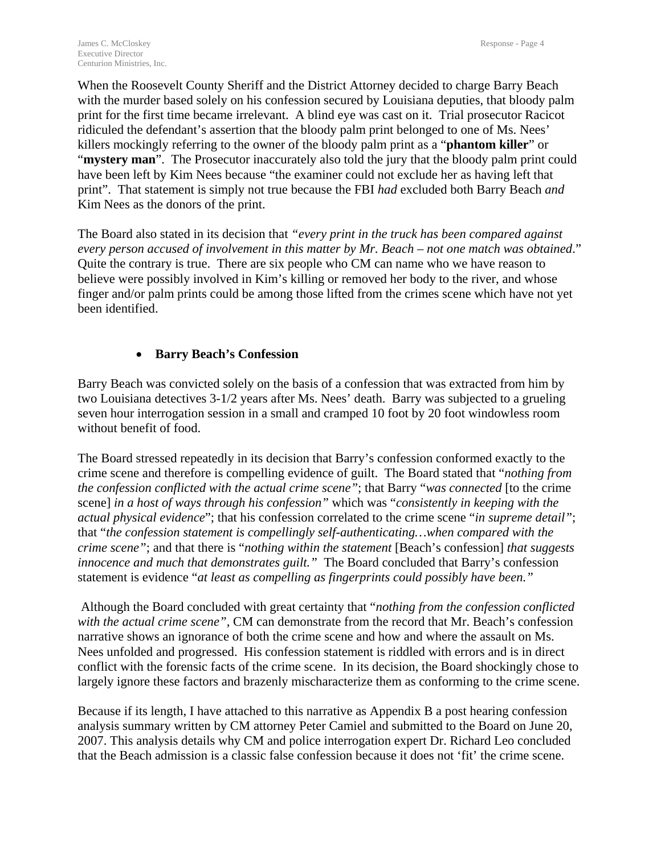When the Roosevelt County Sheriff and the District Attorney decided to charge Barry Beach with the murder based solely on his confession secured by Louisiana deputies, that bloody palm print for the first time became irrelevant. A blind eye was cast on it. Trial prosecutor Racicot ridiculed the defendant's assertion that the bloody palm print belonged to one of Ms. Nees' killers mockingly referring to the owner of the bloody palm print as a "**phantom killer**" or "mystery man". The Prosecutor inaccurately also told the jury that the bloody palm print could have been left by Kim Nees because "the examiner could not exclude her as having left that print". That statement is simply not true because the FBI *had* excluded both Barry Beach *and* Kim Nees as the donors of the print.

The Board also stated in its decision that *"every print in the truck has been compared against every person accused of involvement in this matter by Mr. Beach – not one match was obtained*." Quite the contrary is true. There are six people who CM can name who we have reason to believe were possibly involved in Kim's killing or removed her body to the river, and whose finger and/or palm prints could be among those lifted from the crimes scene which have not yet been identified.

# • **Barry Beach's Confession**

Barry Beach was convicted solely on the basis of a confession that was extracted from him by two Louisiana detectives 3-1/2 years after Ms. Nees' death. Barry was subjected to a grueling seven hour interrogation session in a small and cramped 10 foot by 20 foot windowless room without benefit of food.

The Board stressed repeatedly in its decision that Barry's confession conformed exactly to the crime scene and therefore is compelling evidence of guilt. The Board stated that "*nothing from the confession conflicted with the actual crime scene"*; that Barry "*was connected* [to the crime scene] *in a host of ways through his confession"* which was "*consistently in keeping with the actual physical evidence*"; that his confession correlated to the crime scene "*in supreme detail"*; that "*the confession statement is compellingly self-authenticating…when compared with the crime scene"*; and that there is "*nothing within the statement* [Beach's confession] *that suggests innocence and much that demonstrates guilt."* The Board concluded that Barry's confession statement is evidence "*at least as compelling as fingerprints could possibly have been."* 

 Although the Board concluded with great certainty that "*nothing from the confession conflicted with the actual crime scene",* CM can demonstrate from the record that Mr. Beach's confession narrative shows an ignorance of both the crime scene and how and where the assault on Ms. Nees unfolded and progressed. His confession statement is riddled with errors and is in direct conflict with the forensic facts of the crime scene. In its decision, the Board shockingly chose to largely ignore these factors and brazenly mischaracterize them as conforming to the crime scene.

Because if its length, I have attached to this narrative as Appendix B a post hearing confession analysis summary written by CM attorney Peter Camiel and submitted to the Board on June 20, 2007. This analysis details why CM and police interrogation expert Dr. Richard Leo concluded that the Beach admission is a classic false confession because it does not 'fit' the crime scene.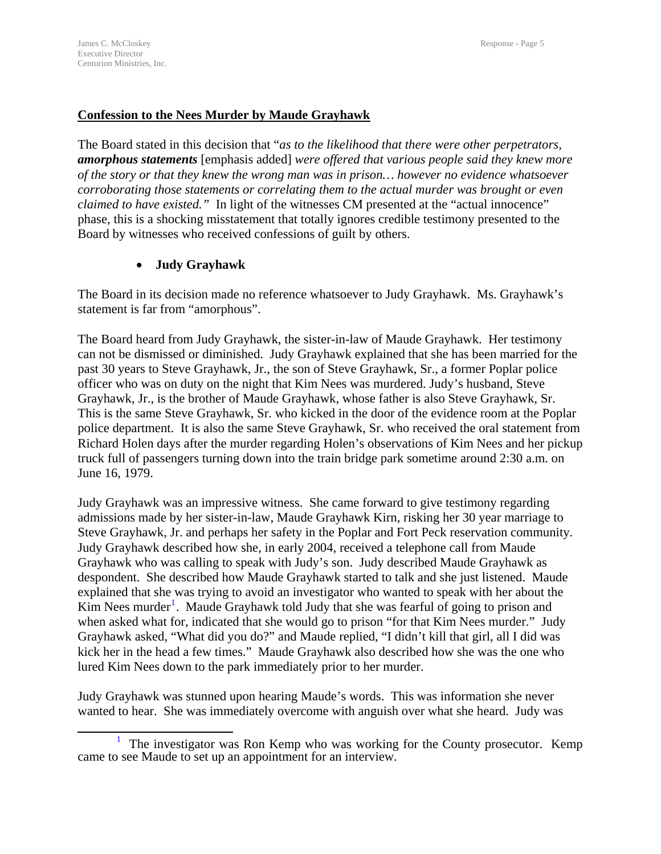# **Confession to the Nees Murder by Maude Grayhawk**

The Board stated in this decision that "*as to the likelihood that there were other perpetrators, amorphous statements* [emphasis added] *were offered that various people said they knew more of the story or that they knew the wrong man was in prison… however no evidence whatsoever corroborating those statements or correlating them to the actual murder was brought or even claimed to have existed.*" In light of the witnesses CM presented at the "actual innocence" phase, this is a shocking misstatement that totally ignores credible testimony presented to the Board by witnesses who received confessions of guilt by others.

# • **Judy Grayhawk**

The Board in its decision made no reference whatsoever to Judy Grayhawk. Ms. Grayhawk's statement is far from "amorphous".

The Board heard from Judy Grayhawk, the sister-in-law of Maude Grayhawk. Her testimony can not be dismissed or diminished. Judy Grayhawk explained that she has been married for the past 30 years to Steve Grayhawk, Jr., the son of Steve Grayhawk, Sr., a former Poplar police officer who was on duty on the night that Kim Nees was murdered. Judy's husband, Steve Grayhawk, Jr., is the brother of Maude Grayhawk, whose father is also Steve Grayhawk, Sr. This is the same Steve Grayhawk, Sr. who kicked in the door of the evidence room at the Poplar police department. It is also the same Steve Grayhawk, Sr. who received the oral statement from Richard Holen days after the murder regarding Holen's observations of Kim Nees and her pickup truck full of passengers turning down into the train bridge park sometime around 2:30 a.m. on June 16, 1979.

Judy Grayhawk was an impressive witness. She came forward to give testimony regarding admissions made by her sister-in-law, Maude Grayhawk Kirn, risking her 30 year marriage to Steve Grayhawk, Jr. and perhaps her safety in the Poplar and Fort Peck reservation community. Judy Grayhawk described how she, in early 2004, received a telephone call from Maude Grayhawk who was calling to speak with Judy's son. Judy described Maude Grayhawk as despondent. She described how Maude Grayhawk started to talk and she just listened. Maude explained that she was trying to avoid an investigator who wanted to speak with her about the Kim Nees murder<sup>[1](#page-6-0)</sup>. Maude Grayhawk told Judy that she was fearful of going to prison and when asked what for, indicated that she would go to prison "for that Kim Nees murder." Judy Grayhawk asked, "What did you do?" and Maude replied, "I didn't kill that girl, all I did was kick her in the head a few times." Maude Grayhawk also described how she was the one who lured Kim Nees down to the park immediately prior to her murder.

Judy Grayhawk was stunned upon hearing Maude's words. This was information she never wanted to hear. She was immediately overcome with anguish over what she heard. Judy was

<span id="page-6-0"></span><sup>1</sup> <sup>1</sup> The investigator was Ron Kemp who was working for the County prosecutor. Kemp came to see Maude to set up an appointment for an interview.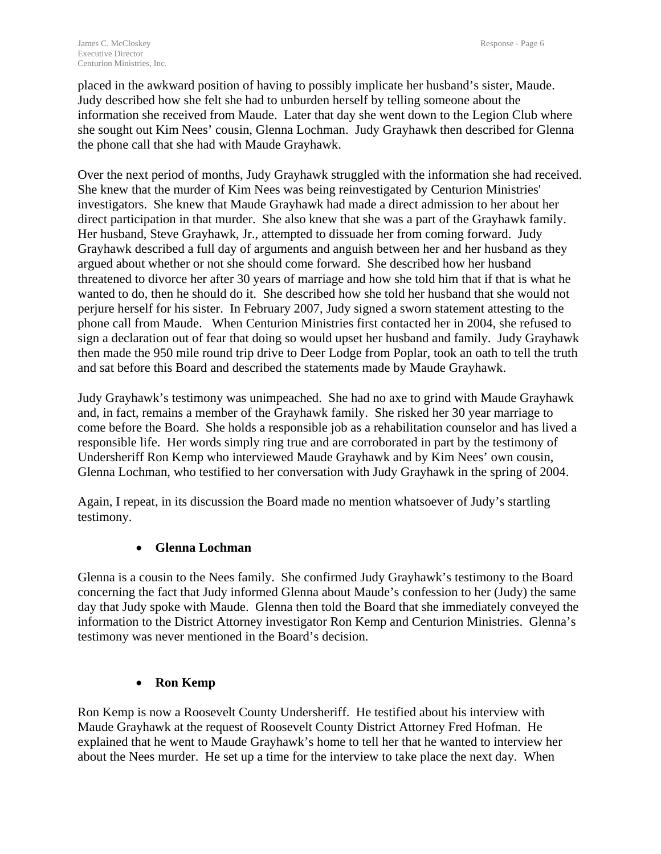placed in the awkward position of having to possibly implicate her husband's sister, Maude. Judy described how she felt she had to unburden herself by telling someone about the information she received from Maude. Later that day she went down to the Legion Club where she sought out Kim Nees' cousin, Glenna Lochman. Judy Grayhawk then described for Glenna the phone call that she had with Maude Grayhawk.

Over the next period of months, Judy Grayhawk struggled with the information she had received. She knew that the murder of Kim Nees was being reinvestigated by Centurion Ministries' investigators. She knew that Maude Grayhawk had made a direct admission to her about her direct participation in that murder. She also knew that she was a part of the Grayhawk family. Her husband, Steve Grayhawk, Jr., attempted to dissuade her from coming forward. Judy Grayhawk described a full day of arguments and anguish between her and her husband as they argued about whether or not she should come forward. She described how her husband threatened to divorce her after 30 years of marriage and how she told him that if that is what he wanted to do, then he should do it. She described how she told her husband that she would not perjure herself for his sister. In February 2007, Judy signed a sworn statement attesting to the phone call from Maude. When Centurion Ministries first contacted her in 2004, she refused to sign a declaration out of fear that doing so would upset her husband and family. Judy Grayhawk then made the 950 mile round trip drive to Deer Lodge from Poplar, took an oath to tell the truth and sat before this Board and described the statements made by Maude Grayhawk.

Judy Grayhawk's testimony was unimpeached. She had no axe to grind with Maude Grayhawk and, in fact, remains a member of the Grayhawk family. She risked her 30 year marriage to come before the Board. She holds a responsible job as a rehabilitation counselor and has lived a responsible life. Her words simply ring true and are corroborated in part by the testimony of Undersheriff Ron Kemp who interviewed Maude Grayhawk and by Kim Nees' own cousin, Glenna Lochman, who testified to her conversation with Judy Grayhawk in the spring of 2004.

Again, I repeat, in its discussion the Board made no mention whatsoever of Judy's startling testimony.

# • **Glenna Lochman**

Glenna is a cousin to the Nees family. She confirmed Judy Grayhawk's testimony to the Board concerning the fact that Judy informed Glenna about Maude's confession to her (Judy) the same day that Judy spoke with Maude. Glenna then told the Board that she immediately conveyed the information to the District Attorney investigator Ron Kemp and Centurion Ministries. Glenna's testimony was never mentioned in the Board's decision.

# • **Ron Kemp**

Ron Kemp is now a Roosevelt County Undersheriff. He testified about his interview with Maude Grayhawk at the request of Roosevelt County District Attorney Fred Hofman. He explained that he went to Maude Grayhawk's home to tell her that he wanted to interview her about the Nees murder. He set up a time for the interview to take place the next day. When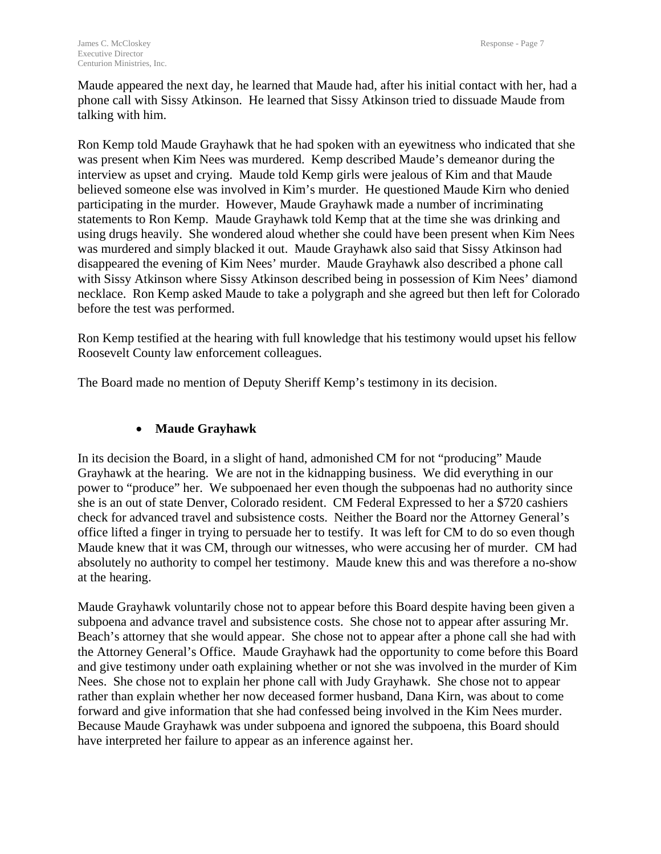Maude appeared the next day, he learned that Maude had, after his initial contact with her, had a phone call with Sissy Atkinson. He learned that Sissy Atkinson tried to dissuade Maude from talking with him.

Ron Kemp told Maude Grayhawk that he had spoken with an eyewitness who indicated that she was present when Kim Nees was murdered. Kemp described Maude's demeanor during the interview as upset and crying. Maude told Kemp girls were jealous of Kim and that Maude believed someone else was involved in Kim's murder. He questioned Maude Kirn who denied participating in the murder. However, Maude Grayhawk made a number of incriminating statements to Ron Kemp. Maude Grayhawk told Kemp that at the time she was drinking and using drugs heavily. She wondered aloud whether she could have been present when Kim Nees was murdered and simply blacked it out. Maude Grayhawk also said that Sissy Atkinson had disappeared the evening of Kim Nees' murder. Maude Grayhawk also described a phone call with Sissy Atkinson where Sissy Atkinson described being in possession of Kim Nees' diamond necklace. Ron Kemp asked Maude to take a polygraph and she agreed but then left for Colorado before the test was performed.

Ron Kemp testified at the hearing with full knowledge that his testimony would upset his fellow Roosevelt County law enforcement colleagues.

The Board made no mention of Deputy Sheriff Kemp's testimony in its decision.

# • **Maude Grayhawk**

In its decision the Board, in a slight of hand, admonished CM for not "producing" Maude Grayhawk at the hearing. We are not in the kidnapping business. We did everything in our power to "produce" her. We subpoenaed her even though the subpoenas had no authority since she is an out of state Denver, Colorado resident. CM Federal Expressed to her a \$720 cashiers check for advanced travel and subsistence costs. Neither the Board nor the Attorney General's office lifted a finger in trying to persuade her to testify. It was left for CM to do so even though Maude knew that it was CM, through our witnesses, who were accusing her of murder. CM had absolutely no authority to compel her testimony. Maude knew this and was therefore a no-show at the hearing.

Maude Grayhawk voluntarily chose not to appear before this Board despite having been given a subpoena and advance travel and subsistence costs. She chose not to appear after assuring Mr. Beach's attorney that she would appear. She chose not to appear after a phone call she had with the Attorney General's Office. Maude Grayhawk had the opportunity to come before this Board and give testimony under oath explaining whether or not she was involved in the murder of Kim Nees. She chose not to explain her phone call with Judy Grayhawk. She chose not to appear rather than explain whether her now deceased former husband, Dana Kirn, was about to come forward and give information that she had confessed being involved in the Kim Nees murder. Because Maude Grayhawk was under subpoena and ignored the subpoena, this Board should have interpreted her failure to appear as an inference against her.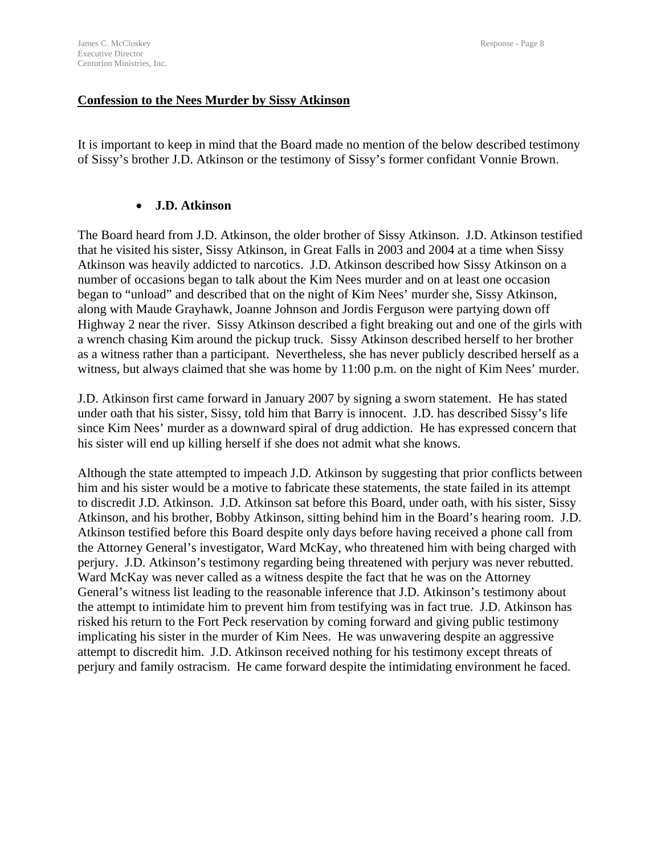#### **Confession to the Nees Murder by Sissy Atkinson**

It is important to keep in mind that the Board made no mention of the below described testimony of Sissy's brother J.D. Atkinson or the testimony of Sissy's former confidant Vonnie Brown.

#### • **J.D. Atkinson**

The Board heard from J.D. Atkinson, the older brother of Sissy Atkinson. J.D. Atkinson testified that he visited his sister, Sissy Atkinson, in Great Falls in 2003 and 2004 at a time when Sissy Atkinson was heavily addicted to narcotics. J.D. Atkinson described how Sissy Atkinson on a number of occasions began to talk about the Kim Nees murder and on at least one occasion began to "unload" and described that on the night of Kim Nees' murder she, Sissy Atkinson, along with Maude Grayhawk, Joanne Johnson and Jordis Ferguson were partying down off Highway 2 near the river. Sissy Atkinson described a fight breaking out and one of the girls with a wrench chasing Kim around the pickup truck. Sissy Atkinson described herself to her brother as a witness rather than a participant. Nevertheless, she has never publicly described herself as a witness, but always claimed that she was home by 11:00 p.m. on the night of Kim Nees' murder.

J.D. Atkinson first came forward in January 2007 by signing a sworn statement. He has stated under oath that his sister, Sissy, told him that Barry is innocent. J.D. has described Sissy's life since Kim Nees' murder as a downward spiral of drug addiction. He has expressed concern that his sister will end up killing herself if she does not admit what she knows.

Although the state attempted to impeach J.D. Atkinson by suggesting that prior conflicts between him and his sister would be a motive to fabricate these statements, the state failed in its attempt to discredit J.D. Atkinson. J.D. Atkinson sat before this Board, under oath, with his sister, Sissy Atkinson, and his brother, Bobby Atkinson, sitting behind him in the Board's hearing room. J.D. Atkinson testified before this Board despite only days before having received a phone call from the Attorney General's investigator, Ward McKay, who threatened him with being charged with perjury. J.D. Atkinson's testimony regarding being threatened with perjury was never rebutted. Ward McKay was never called as a witness despite the fact that he was on the Attorney General's witness list leading to the reasonable inference that J.D. Atkinson's testimony about the attempt to intimidate him to prevent him from testifying was in fact true. J.D. Atkinson has risked his return to the Fort Peck reservation by coming forward and giving public testimony implicating his sister in the murder of Kim Nees. He was unwavering despite an aggressive attempt to discredit him. J.D. Atkinson received nothing for his testimony except threats of perjury and family ostracism. He came forward despite the intimidating environment he faced.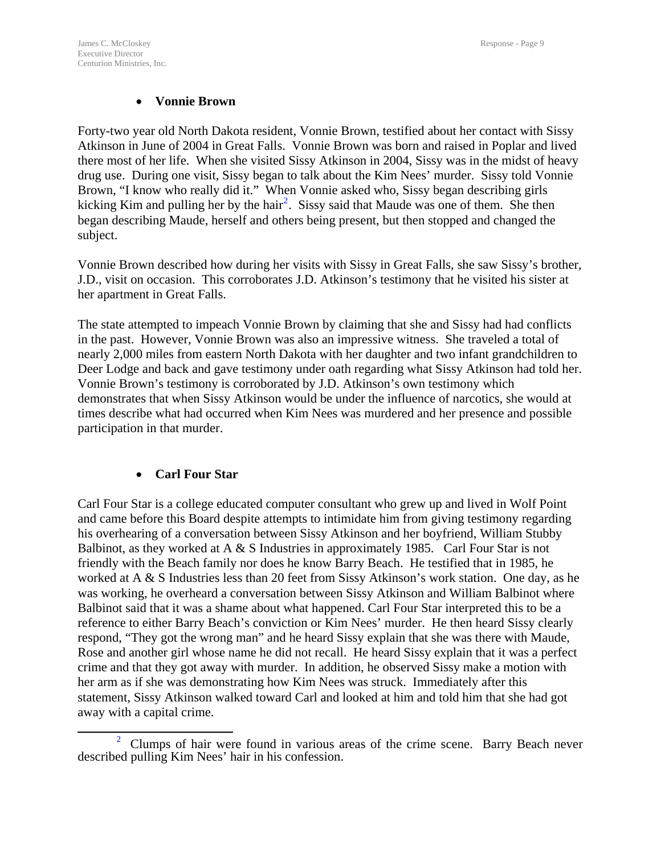#### • **Vonnie Brown**

Forty-two year old North Dakota resident, Vonnie Brown, testified about her contact with Sissy Atkinson in June of 2004 in Great Falls. Vonnie Brown was born and raised in Poplar and lived there most of her life. When she visited Sissy Atkinson in 2004, Sissy was in the midst of heavy drug use. During one visit, Sissy began to talk about the Kim Nees' murder. Sissy told Vonnie Brown, "I know who really did it." When Vonnie asked who, Sissy began describing girls kicking Kim and pulling her by the hair<sup>[2](#page-10-0)</sup>. Sissy said that Maude was one of them. She then began describing Maude, herself and others being present, but then stopped and changed the subject.

Vonnie Brown described how during her visits with Sissy in Great Falls, she saw Sissy's brother, J.D., visit on occasion. This corroborates J.D. Atkinson's testimony that he visited his sister at her apartment in Great Falls.

The state attempted to impeach Vonnie Brown by claiming that she and Sissy had had conflicts in the past. However, Vonnie Brown was also an impressive witness. She traveled a total of nearly 2,000 miles from eastern North Dakota with her daughter and two infant grandchildren to Deer Lodge and back and gave testimony under oath regarding what Sissy Atkinson had told her. Vonnie Brown's testimony is corroborated by J.D. Atkinson's own testimony which demonstrates that when Sissy Atkinson would be under the influence of narcotics, she would at times describe what had occurred when Kim Nees was murdered and her presence and possible participation in that murder.

# • **Carl Four Star**

Carl Four Star is a college educated computer consultant who grew up and lived in Wolf Point and came before this Board despite attempts to intimidate him from giving testimony regarding his overhearing of a conversation between Sissy Atkinson and her boyfriend, William Stubby Balbinot, as they worked at A & S Industries in approximately 1985. Carl Four Star is not friendly with the Beach family nor does he know Barry Beach. He testified that in 1985, he worked at A & S Industries less than 20 feet from Sissy Atkinson's work station. One day, as he was working, he overheard a conversation between Sissy Atkinson and William Balbinot where Balbinot said that it was a shame about what happened. Carl Four Star interpreted this to be a reference to either Barry Beach's conviction or Kim Nees' murder. He then heard Sissy clearly respond, "They got the wrong man" and he heard Sissy explain that she was there with Maude, Rose and another girl whose name he did not recall. He heard Sissy explain that it was a perfect crime and that they got away with murder. In addition, he observed Sissy make a motion with her arm as if she was demonstrating how Kim Nees was struck. Immediately after this statement, Sissy Atkinson walked toward Carl and looked at him and told him that she had got away with a capital crime.

<span id="page-10-0"></span> <sup>2</sup>  $2$  Clumps of hair were found in various areas of the crime scene. Barry Beach never described pulling Kim Nees' hair in his confession.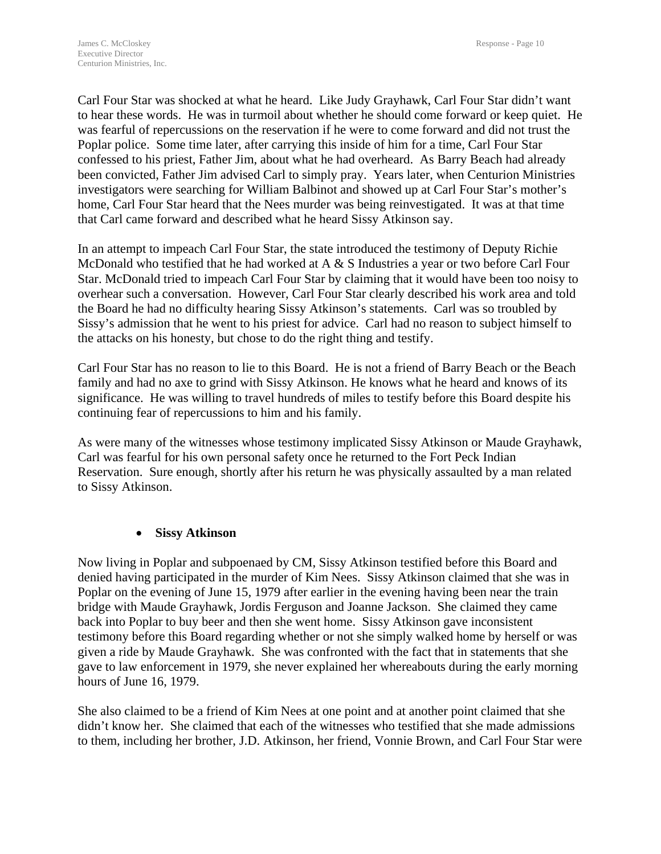Carl Four Star was shocked at what he heard. Like Judy Grayhawk, Carl Four Star didn't want to hear these words. He was in turmoil about whether he should come forward or keep quiet. He was fearful of repercussions on the reservation if he were to come forward and did not trust the Poplar police. Some time later, after carrying this inside of him for a time, Carl Four Star confessed to his priest, Father Jim, about what he had overheard. As Barry Beach had already been convicted, Father Jim advised Carl to simply pray. Years later, when Centurion Ministries investigators were searching for William Balbinot and showed up at Carl Four Star's mother's home, Carl Four Star heard that the Nees murder was being reinvestigated. It was at that time that Carl came forward and described what he heard Sissy Atkinson say.

In an attempt to impeach Carl Four Star, the state introduced the testimony of Deputy Richie McDonald who testified that he had worked at A & S Industries a year or two before Carl Four Star. McDonald tried to impeach Carl Four Star by claiming that it would have been too noisy to overhear such a conversation. However, Carl Four Star clearly described his work area and told the Board he had no difficulty hearing Sissy Atkinson's statements. Carl was so troubled by Sissy's admission that he went to his priest for advice. Carl had no reason to subject himself to the attacks on his honesty, but chose to do the right thing and testify.

Carl Four Star has no reason to lie to this Board. He is not a friend of Barry Beach or the Beach family and had no axe to grind with Sissy Atkinson. He knows what he heard and knows of its significance. He was willing to travel hundreds of miles to testify before this Board despite his continuing fear of repercussions to him and his family.

As were many of the witnesses whose testimony implicated Sissy Atkinson or Maude Grayhawk, Carl was fearful for his own personal safety once he returned to the Fort Peck Indian Reservation. Sure enough, shortly after his return he was physically assaulted by a man related to Sissy Atkinson.

# • **Sissy Atkinson**

Now living in Poplar and subpoenaed by CM, Sissy Atkinson testified before this Board and denied having participated in the murder of Kim Nees. Sissy Atkinson claimed that she was in Poplar on the evening of June 15, 1979 after earlier in the evening having been near the train bridge with Maude Grayhawk, Jordis Ferguson and Joanne Jackson. She claimed they came back into Poplar to buy beer and then she went home. Sissy Atkinson gave inconsistent testimony before this Board regarding whether or not she simply walked home by herself or was given a ride by Maude Grayhawk. She was confronted with the fact that in statements that she gave to law enforcement in 1979, she never explained her whereabouts during the early morning hours of June 16, 1979.

She also claimed to be a friend of Kim Nees at one point and at another point claimed that she didn't know her. She claimed that each of the witnesses who testified that she made admissions to them, including her brother, J.D. Atkinson, her friend, Vonnie Brown, and Carl Four Star were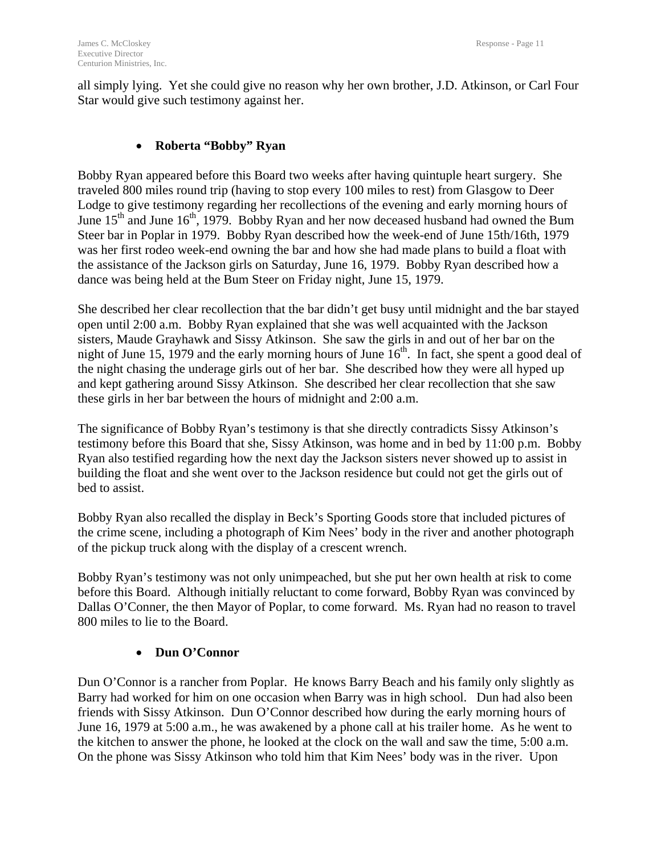all simply lying. Yet she could give no reason why her own brother, J.D. Atkinson, or Carl Four Star would give such testimony against her.

# • **Roberta "Bobby" Ryan**

Bobby Ryan appeared before this Board two weeks after having quintuple heart surgery. She traveled 800 miles round trip (having to stop every 100 miles to rest) from Glasgow to Deer Lodge to give testimony regarding her recollections of the evening and early morning hours of June  $15<sup>th</sup>$  and June  $16<sup>th</sup>$ , 1979. Bobby Ryan and her now deceased husband had owned the Bum Steer bar in Poplar in 1979. Bobby Ryan described how the week-end of June 15th/16th, 1979 was her first rodeo week-end owning the bar and how she had made plans to build a float with the assistance of the Jackson girls on Saturday, June 16, 1979. Bobby Ryan described how a dance was being held at the Bum Steer on Friday night, June 15, 1979.

She described her clear recollection that the bar didn't get busy until midnight and the bar stayed open until 2:00 a.m. Bobby Ryan explained that she was well acquainted with the Jackson sisters, Maude Grayhawk and Sissy Atkinson. She saw the girls in and out of her bar on the night of June 15, 1979 and the early morning hours of June  $16<sup>th</sup>$ . In fact, she spent a good deal of the night chasing the underage girls out of her bar. She described how they were all hyped up and kept gathering around Sissy Atkinson. She described her clear recollection that she saw these girls in her bar between the hours of midnight and 2:00 a.m.

The significance of Bobby Ryan's testimony is that she directly contradicts Sissy Atkinson's testimony before this Board that she, Sissy Atkinson, was home and in bed by 11:00 p.m. Bobby Ryan also testified regarding how the next day the Jackson sisters never showed up to assist in building the float and she went over to the Jackson residence but could not get the girls out of bed to assist.

Bobby Ryan also recalled the display in Beck's Sporting Goods store that included pictures of the crime scene, including a photograph of Kim Nees' body in the river and another photograph of the pickup truck along with the display of a crescent wrench.

Bobby Ryan's testimony was not only unimpeached, but she put her own health at risk to come before this Board. Although initially reluctant to come forward, Bobby Ryan was convinced by Dallas O'Conner, the then Mayor of Poplar, to come forward. Ms. Ryan had no reason to travel 800 miles to lie to the Board.

# • **Dun O'Connor**

Dun O'Connor is a rancher from Poplar. He knows Barry Beach and his family only slightly as Barry had worked for him on one occasion when Barry was in high school. Dun had also been friends with Sissy Atkinson. Dun O'Connor described how during the early morning hours of June 16, 1979 at 5:00 a.m., he was awakened by a phone call at his trailer home. As he went to the kitchen to answer the phone, he looked at the clock on the wall and saw the time, 5:00 a.m. On the phone was Sissy Atkinson who told him that Kim Nees' body was in the river. Upon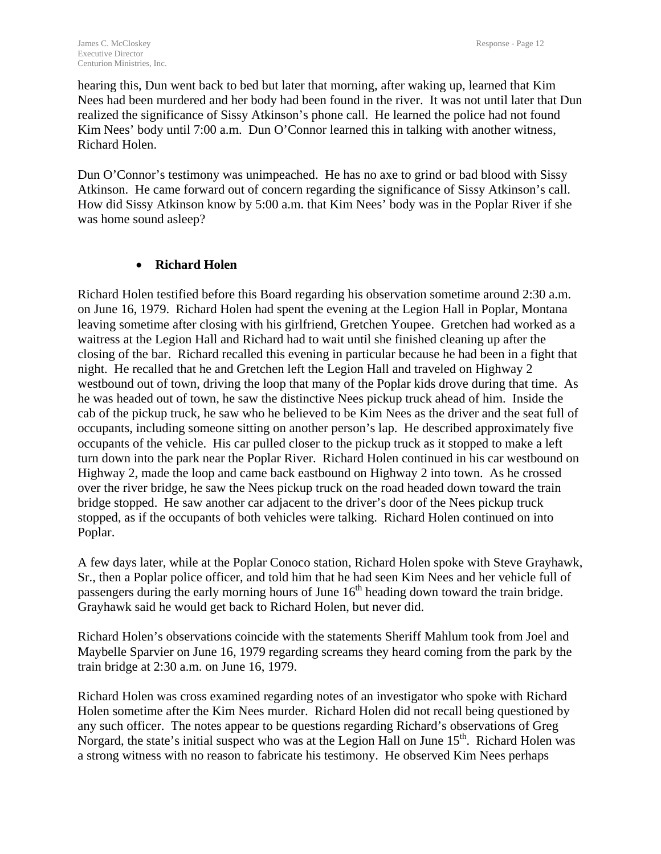hearing this, Dun went back to bed but later that morning, after waking up, learned that Kim Nees had been murdered and her body had been found in the river. It was not until later that Dun realized the significance of Sissy Atkinson's phone call. He learned the police had not found Kim Nees' body until 7:00 a.m. Dun O'Connor learned this in talking with another witness, Richard Holen.

Dun O'Connor's testimony was unimpeached. He has no axe to grind or bad blood with Sissy Atkinson. He came forward out of concern regarding the significance of Sissy Atkinson's call. How did Sissy Atkinson know by 5:00 a.m. that Kim Nees' body was in the Poplar River if she was home sound asleep?

# • **Richard Holen**

Richard Holen testified before this Board regarding his observation sometime around 2:30 a.m. on June 16, 1979. Richard Holen had spent the evening at the Legion Hall in Poplar, Montana leaving sometime after closing with his girlfriend, Gretchen Youpee. Gretchen had worked as a waitress at the Legion Hall and Richard had to wait until she finished cleaning up after the closing of the bar. Richard recalled this evening in particular because he had been in a fight that night. He recalled that he and Gretchen left the Legion Hall and traveled on Highway 2 westbound out of town, driving the loop that many of the Poplar kids drove during that time. As he was headed out of town, he saw the distinctive Nees pickup truck ahead of him. Inside the cab of the pickup truck, he saw who he believed to be Kim Nees as the driver and the seat full of occupants, including someone sitting on another person's lap. He described approximately five occupants of the vehicle. His car pulled closer to the pickup truck as it stopped to make a left turn down into the park near the Poplar River. Richard Holen continued in his car westbound on Highway 2, made the loop and came back eastbound on Highway 2 into town. As he crossed over the river bridge, he saw the Nees pickup truck on the road headed down toward the train bridge stopped. He saw another car adjacent to the driver's door of the Nees pickup truck stopped, as if the occupants of both vehicles were talking. Richard Holen continued on into Poplar.

A few days later, while at the Poplar Conoco station, Richard Holen spoke with Steve Grayhawk, Sr., then a Poplar police officer, and told him that he had seen Kim Nees and her vehicle full of passengers during the early morning hours of June  $16<sup>th</sup>$  heading down toward the train bridge. Grayhawk said he would get back to Richard Holen, but never did.

Richard Holen's observations coincide with the statements Sheriff Mahlum took from Joel and Maybelle Sparvier on June 16, 1979 regarding screams they heard coming from the park by the train bridge at 2:30 a.m. on June 16, 1979.

Richard Holen was cross examined regarding notes of an investigator who spoke with Richard Holen sometime after the Kim Nees murder. Richard Holen did not recall being questioned by any such officer. The notes appear to be questions regarding Richard's observations of Greg Norgard, the state's initial suspect who was at the Legion Hall on June  $15<sup>th</sup>$ . Richard Holen was a strong witness with no reason to fabricate his testimony. He observed Kim Nees perhaps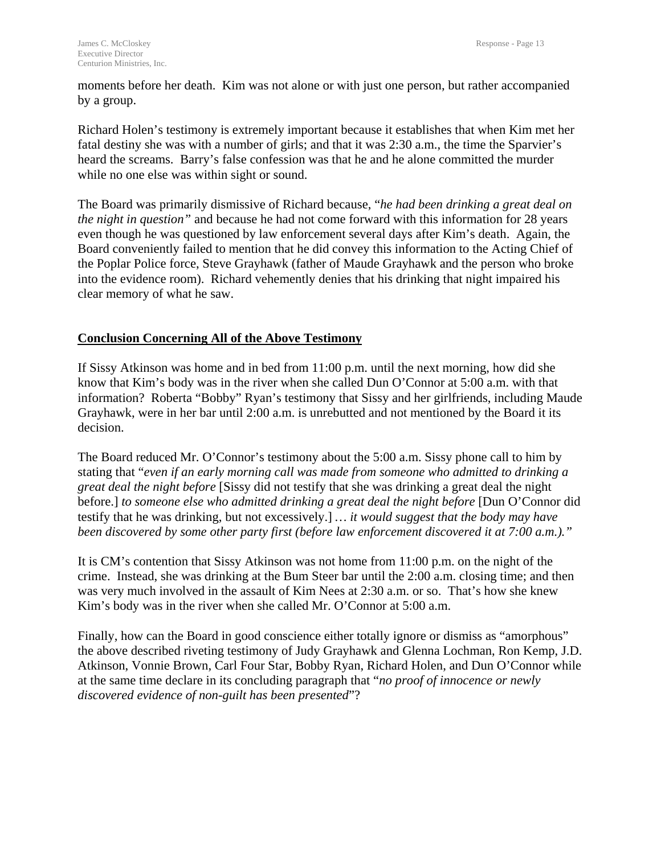moments before her death. Kim was not alone or with just one person, but rather accompanied by a group.

Richard Holen's testimony is extremely important because it establishes that when Kim met her fatal destiny she was with a number of girls; and that it was 2:30 a.m., the time the Sparvier's heard the screams. Barry's false confession was that he and he alone committed the murder while no one else was within sight or sound.

The Board was primarily dismissive of Richard because, "*he had been drinking a great deal on the night in question"* and because he had not come forward with this information for 28 years even though he was questioned by law enforcement several days after Kim's death. Again, the Board conveniently failed to mention that he did convey this information to the Acting Chief of the Poplar Police force, Steve Grayhawk (father of Maude Grayhawk and the person who broke into the evidence room). Richard vehemently denies that his drinking that night impaired his clear memory of what he saw.

# **Conclusion Concerning All of the Above Testimony**

If Sissy Atkinson was home and in bed from 11:00 p.m. until the next morning, how did she know that Kim's body was in the river when she called Dun O'Connor at 5:00 a.m. with that information? Roberta "Bobby" Ryan's testimony that Sissy and her girlfriends, including Maude Grayhawk, were in her bar until 2:00 a.m. is unrebutted and not mentioned by the Board it its decision.

The Board reduced Mr. O'Connor's testimony about the 5:00 a.m. Sissy phone call to him by stating that "*even if an early morning call was made from someone who admitted to drinking a great deal the night before* [Sissy did not testify that she was drinking a great deal the night before.] *to someone else who admitted drinking a great deal the night before* [Dun O'Connor did testify that he was drinking, but not excessively.] *… it would suggest that the body may have been discovered by some other party first (before law enforcement discovered it at 7:00 a.m.)."*

It is CM's contention that Sissy Atkinson was not home from 11:00 p.m. on the night of the crime. Instead, she was drinking at the Bum Steer bar until the 2:00 a.m. closing time; and then was very much involved in the assault of Kim Nees at 2:30 a.m. or so. That's how she knew Kim's body was in the river when she called Mr. O'Connor at 5:00 a.m.

Finally, how can the Board in good conscience either totally ignore or dismiss as "amorphous" the above described riveting testimony of Judy Grayhawk and Glenna Lochman, Ron Kemp, J.D. Atkinson, Vonnie Brown, Carl Four Star, Bobby Ryan, Richard Holen, and Dun O'Connor while at the same time declare in its concluding paragraph that "*no proof of innocence or newly discovered evidence of non-guilt has been presented*"?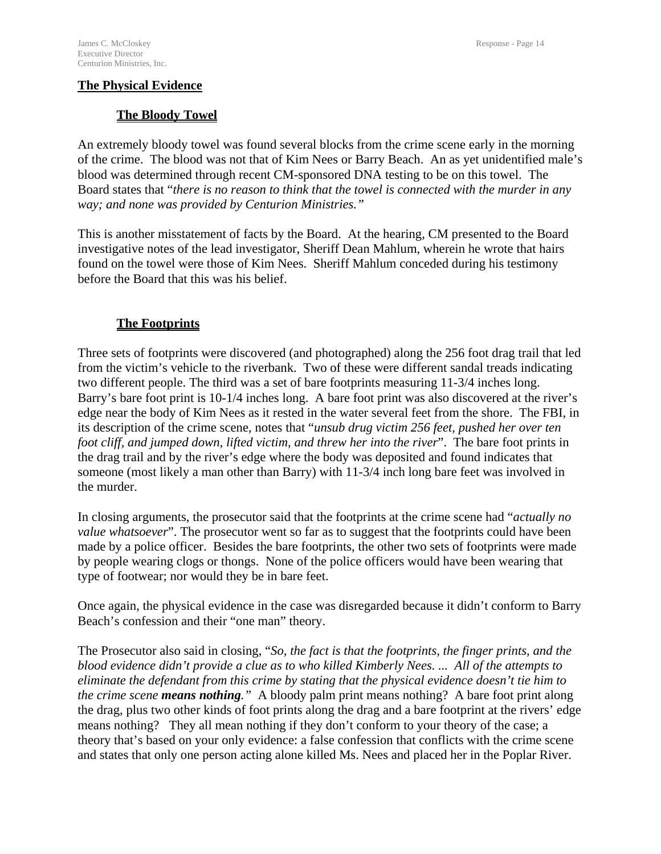# **The Bloody Towel**

An extremely bloody towel was found several blocks from the crime scene early in the morning of the crime. The blood was not that of Kim Nees or Barry Beach. An as yet unidentified male's blood was determined through recent CM-sponsored DNA testing to be on this towel. The Board states that "*there is no reason to think that the towel is connected with the murder in any way; and none was provided by Centurion Ministries."*

This is another misstatement of facts by the Board. At the hearing, CM presented to the Board investigative notes of the lead investigator, Sheriff Dean Mahlum, wherein he wrote that hairs found on the towel were those of Kim Nees. Sheriff Mahlum conceded during his testimony before the Board that this was his belief.

# **The Footprints**

Three sets of footprints were discovered (and photographed) along the 256 foot drag trail that led from the victim's vehicle to the riverbank. Two of these were different sandal treads indicating two different people. The third was a set of bare footprints measuring 11-3/4 inches long. Barry's bare foot print is 10-1/4 inches long. A bare foot print was also discovered at the river's edge near the body of Kim Nees as it rested in the water several feet from the shore. The FBI, in its description of the crime scene, notes that "*unsub drug victim 256 feet, pushed her over ten foot cliff, and jumped down, lifted victim, and threw her into the river*". The bare foot prints in the drag trail and by the river's edge where the body was deposited and found indicates that someone (most likely a man other than Barry) with 11-3/4 inch long bare feet was involved in the murder.

In closing arguments, the prosecutor said that the footprints at the crime scene had "*actually no value whatsoever*". The prosecutor went so far as to suggest that the footprints could have been made by a police officer. Besides the bare footprints, the other two sets of footprints were made by people wearing clogs or thongs. None of the police officers would have been wearing that type of footwear; nor would they be in bare feet.

Once again, the physical evidence in the case was disregarded because it didn't conform to Barry Beach's confession and their "one man" theory.

The Prosecutor also said in closing, "*So, the fact is that the footprints, the finger prints, and the blood evidence didn't provide a clue as to who killed Kimberly Nees. ... All of the attempts to eliminate the defendant from this crime by stating that the physical evidence doesn't tie him to the crime scene means nothing."* A bloody palm print means nothing? A bare foot print along the drag, plus two other kinds of foot prints along the drag and a bare footprint at the rivers' edge means nothing? They all mean nothing if they don't conform to your theory of the case; a theory that's based on your only evidence: a false confession that conflicts with the crime scene and states that only one person acting alone killed Ms. Nees and placed her in the Poplar River.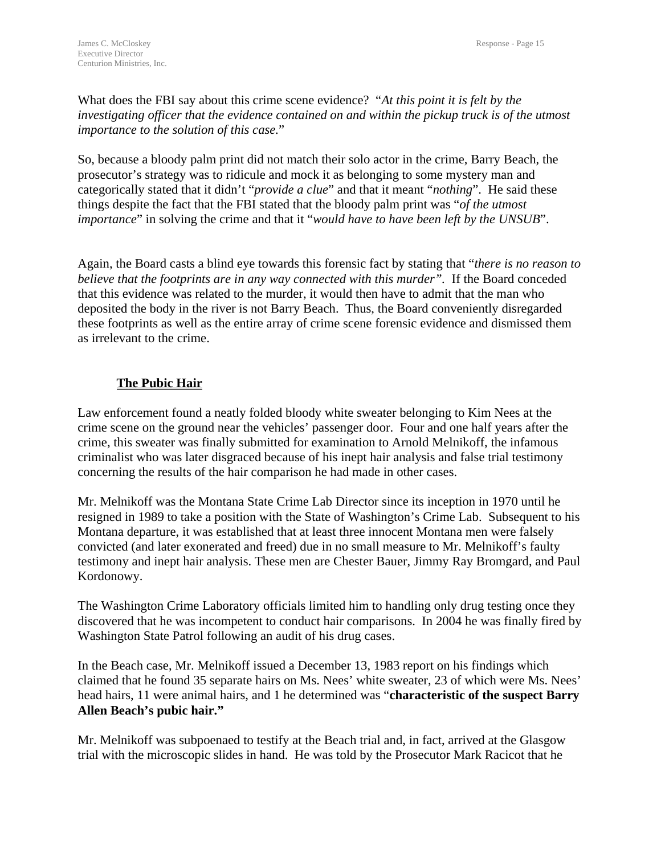What does the FBI say about this crime scene evidence? "*At this point it is felt by the investigating officer that the evidence contained on and within the pickup truck is of the utmost importance to the solution of this case.*"

So, because a bloody palm print did not match their solo actor in the crime, Barry Beach, the prosecutor's strategy was to ridicule and mock it as belonging to some mystery man and categorically stated that it didn't "*provide a clue*" and that it meant "*nothing*". He said these things despite the fact that the FBI stated that the bloody palm print was "*of the utmost importance*" in solving the crime and that it "*would have to have been left by the UNSUB*".

Again, the Board casts a blind eye towards this forensic fact by stating that "*there is no reason to believe that the footprints are in any way connected with this murder".* If the Board conceded that this evidence was related to the murder, it would then have to admit that the man who deposited the body in the river is not Barry Beach. Thus, the Board conveniently disregarded these footprints as well as the entire array of crime scene forensic evidence and dismissed them as irrelevant to the crime.

# **The Pubic Hair**

Law enforcement found a neatly folded bloody white sweater belonging to Kim Nees at the crime scene on the ground near the vehicles' passenger door. Four and one half years after the crime, this sweater was finally submitted for examination to Arnold Melnikoff, the infamous criminalist who was later disgraced because of his inept hair analysis and false trial testimony concerning the results of the hair comparison he had made in other cases.

Mr. Melnikoff was the Montana State Crime Lab Director since its inception in 1970 until he resigned in 1989 to take a position with the State of Washington's Crime Lab. Subsequent to his Montana departure, it was established that at least three innocent Montana men were falsely convicted (and later exonerated and freed) due in no small measure to Mr. Melnikoff's faulty testimony and inept hair analysis. These men are Chester Bauer, Jimmy Ray Bromgard, and Paul Kordonowy.

The Washington Crime Laboratory officials limited him to handling only drug testing once they discovered that he was incompetent to conduct hair comparisons. In 2004 he was finally fired by Washington State Patrol following an audit of his drug cases.

In the Beach case, Mr. Melnikoff issued a December 13, 1983 report on his findings which claimed that he found 35 separate hairs on Ms. Nees' white sweater, 23 of which were Ms. Nees' head hairs, 11 were animal hairs, and 1 he determined was "**characteristic of the suspect Barry Allen Beach's pubic hair."** 

Mr. Melnikoff was subpoenaed to testify at the Beach trial and, in fact, arrived at the Glasgow trial with the microscopic slides in hand. He was told by the Prosecutor Mark Racicot that he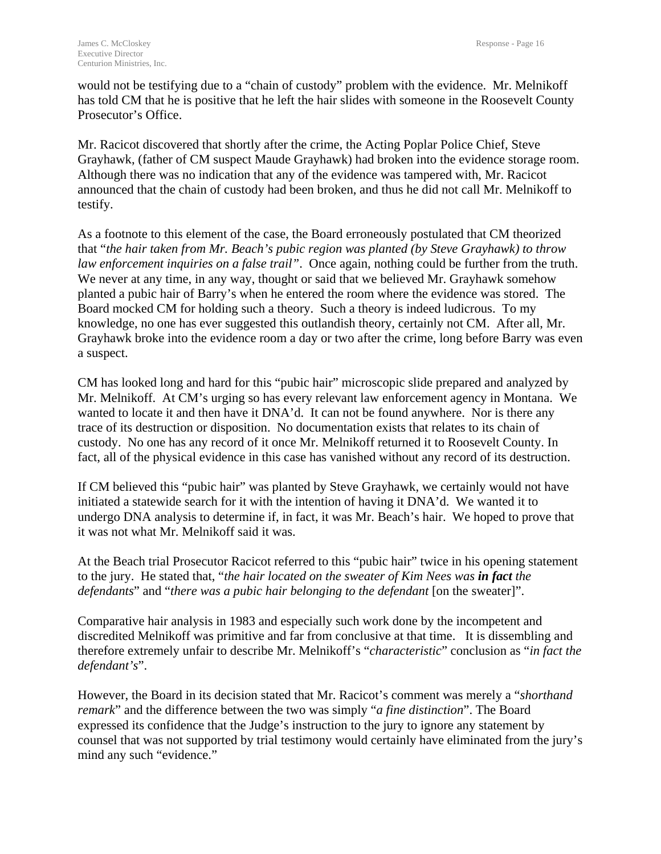would not be testifying due to a "chain of custody" problem with the evidence. Mr. Melnikoff has told CM that he is positive that he left the hair slides with someone in the Roosevelt County Prosecutor's Office.

Mr. Racicot discovered that shortly after the crime, the Acting Poplar Police Chief, Steve Grayhawk, (father of CM suspect Maude Grayhawk) had broken into the evidence storage room. Although there was no indication that any of the evidence was tampered with, Mr. Racicot announced that the chain of custody had been broken, and thus he did not call Mr. Melnikoff to testify.

As a footnote to this element of the case, the Board erroneously postulated that CM theorized that "*the hair taken from Mr. Beach's pubic region was planted (by Steve Grayhawk) to throw law enforcement inquiries on a false trail"*. Once again, nothing could be further from the truth. We never at any time, in any way, thought or said that we believed Mr. Grayhawk somehow planted a pubic hair of Barry's when he entered the room where the evidence was stored. The Board mocked CM for holding such a theory. Such a theory is indeed ludicrous. To my knowledge, no one has ever suggested this outlandish theory, certainly not CM. After all, Mr. Grayhawk broke into the evidence room a day or two after the crime, long before Barry was even a suspect.

CM has looked long and hard for this "pubic hair" microscopic slide prepared and analyzed by Mr. Melnikoff. At CM's urging so has every relevant law enforcement agency in Montana. We wanted to locate it and then have it DNA'd. It can not be found anywhere. Nor is there any trace of its destruction or disposition. No documentation exists that relates to its chain of custody. No one has any record of it once Mr. Melnikoff returned it to Roosevelt County. In fact, all of the physical evidence in this case has vanished without any record of its destruction.

If CM believed this "pubic hair" was planted by Steve Grayhawk, we certainly would not have initiated a statewide search for it with the intention of having it DNA'd. We wanted it to undergo DNA analysis to determine if, in fact, it was Mr. Beach's hair. We hoped to prove that it was not what Mr. Melnikoff said it was.

At the Beach trial Prosecutor Racicot referred to this "pubic hair" twice in his opening statement to the jury. He stated that, "*the hair located on the sweater of Kim Nees was in fact the defendants*" and "*there was a pubic hair belonging to the defendant* [on the sweater]".

Comparative hair analysis in 1983 and especially such work done by the incompetent and discredited Melnikoff was primitive and far from conclusive at that time. It is dissembling and therefore extremely unfair to describe Mr. Melnikoff's "*characteristic*" conclusion as "*in fact the defendant's*".

However, the Board in its decision stated that Mr. Racicot's comment was merely a "*shorthand remark*" and the difference between the two was simply "*a fine distinction*". The Board expressed its confidence that the Judge's instruction to the jury to ignore any statement by counsel that was not supported by trial testimony would certainly have eliminated from the jury's mind any such "evidence."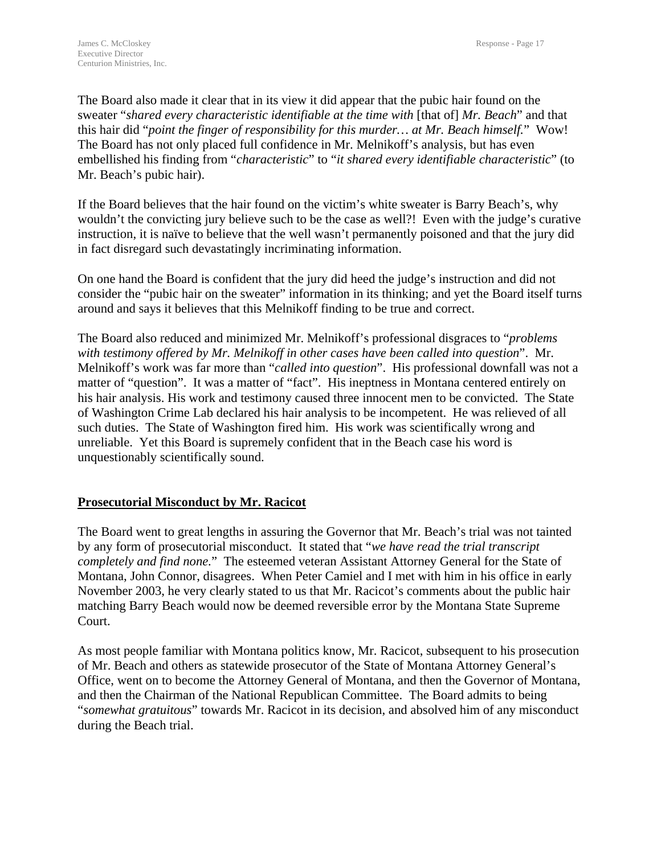The Board also made it clear that in its view it did appear that the pubic hair found on the sweater "*shared every characteristic identifiable at the time with* [that of] *Mr. Beach*" and that this hair did "*point the finger of responsibility for this murder… at Mr. Beach himself.*" Wow! The Board has not only placed full confidence in Mr. Melnikoff's analysis, but has even embellished his finding from "*characteristic*" to "*it shared every identifiable characteristic*" (to Mr. Beach's pubic hair).

If the Board believes that the hair found on the victim's white sweater is Barry Beach's, why wouldn't the convicting jury believe such to be the case as well?! Even with the judge's curative instruction, it is naïve to believe that the well wasn't permanently poisoned and that the jury did in fact disregard such devastatingly incriminating information.

On one hand the Board is confident that the jury did heed the judge's instruction and did not consider the "pubic hair on the sweater" information in its thinking; and yet the Board itself turns around and says it believes that this Melnikoff finding to be true and correct.

The Board also reduced and minimized Mr. Melnikoff's professional disgraces to "*problems with testimony offered by Mr. Melnikoff in other cases have been called into question*". Mr. Melnikoff's work was far more than "*called into question*". His professional downfall was not a matter of "question". It was a matter of "fact". His ineptness in Montana centered entirely on his hair analysis. His work and testimony caused three innocent men to be convicted. The State of Washington Crime Lab declared his hair analysis to be incompetent. He was relieved of all such duties. The State of Washington fired him. His work was scientifically wrong and unreliable. Yet this Board is supremely confident that in the Beach case his word is unquestionably scientifically sound.

# **Prosecutorial Misconduct by Mr. Racicot**

The Board went to great lengths in assuring the Governor that Mr. Beach's trial was not tainted by any form of prosecutorial misconduct. It stated that "*we have read the trial transcript completely and find none.*" The esteemed veteran Assistant Attorney General for the State of Montana, John Connor, disagrees. When Peter Camiel and I met with him in his office in early November 2003, he very clearly stated to us that Mr. Racicot's comments about the public hair matching Barry Beach would now be deemed reversible error by the Montana State Supreme Court.

As most people familiar with Montana politics know, Mr. Racicot, subsequent to his prosecution of Mr. Beach and others as statewide prosecutor of the State of Montana Attorney General's Office, went on to become the Attorney General of Montana, and then the Governor of Montana, and then the Chairman of the National Republican Committee. The Board admits to being "*somewhat gratuitous*" towards Mr. Racicot in its decision, and absolved him of any misconduct during the Beach trial.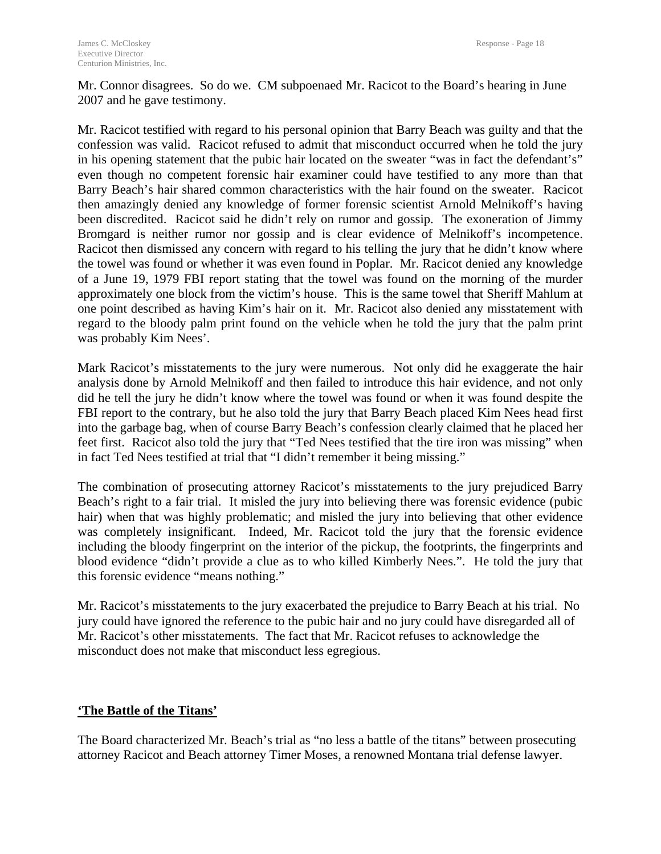Mr. Connor disagrees. So do we. CM subpoenaed Mr. Racicot to the Board's hearing in June 2007 and he gave testimony.

Mr. Racicot testified with regard to his personal opinion that Barry Beach was guilty and that the confession was valid. Racicot refused to admit that misconduct occurred when he told the jury in his opening statement that the pubic hair located on the sweater "was in fact the defendant's" even though no competent forensic hair examiner could have testified to any more than that Barry Beach's hair shared common characteristics with the hair found on the sweater. Racicot then amazingly denied any knowledge of former forensic scientist Arnold Melnikoff's having been discredited. Racicot said he didn't rely on rumor and gossip. The exoneration of Jimmy Bromgard is neither rumor nor gossip and is clear evidence of Melnikoff's incompetence. Racicot then dismissed any concern with regard to his telling the jury that he didn't know where the towel was found or whether it was even found in Poplar. Mr. Racicot denied any knowledge of a June 19, 1979 FBI report stating that the towel was found on the morning of the murder approximately one block from the victim's house. This is the same towel that Sheriff Mahlum at one point described as having Kim's hair on it. Mr. Racicot also denied any misstatement with regard to the bloody palm print found on the vehicle when he told the jury that the palm print was probably Kim Nees'.

Mark Racicot's misstatements to the jury were numerous. Not only did he exaggerate the hair analysis done by Arnold Melnikoff and then failed to introduce this hair evidence, and not only did he tell the jury he didn't know where the towel was found or when it was found despite the FBI report to the contrary, but he also told the jury that Barry Beach placed Kim Nees head first into the garbage bag, when of course Barry Beach's confession clearly claimed that he placed her feet first. Racicot also told the jury that "Ted Nees testified that the tire iron was missing" when in fact Ted Nees testified at trial that "I didn't remember it being missing."

The combination of prosecuting attorney Racicot's misstatements to the jury prejudiced Barry Beach's right to a fair trial. It misled the jury into believing there was forensic evidence (pubic hair) when that was highly problematic; and misled the jury into believing that other evidence was completely insignificant. Indeed, Mr. Racicot told the jury that the forensic evidence including the bloody fingerprint on the interior of the pickup, the footprints, the fingerprints and blood evidence "didn't provide a clue as to who killed Kimberly Nees.". He told the jury that this forensic evidence "means nothing."

Mr. Racicot's misstatements to the jury exacerbated the prejudice to Barry Beach at his trial. No jury could have ignored the reference to the pubic hair and no jury could have disregarded all of Mr. Racicot's other misstatements. The fact that Mr. Racicot refuses to acknowledge the misconduct does not make that misconduct less egregious.

# **'The Battle of the Titans'**

The Board characterized Mr. Beach's trial as "no less a battle of the titans" between prosecuting attorney Racicot and Beach attorney Timer Moses, a renowned Montana trial defense lawyer.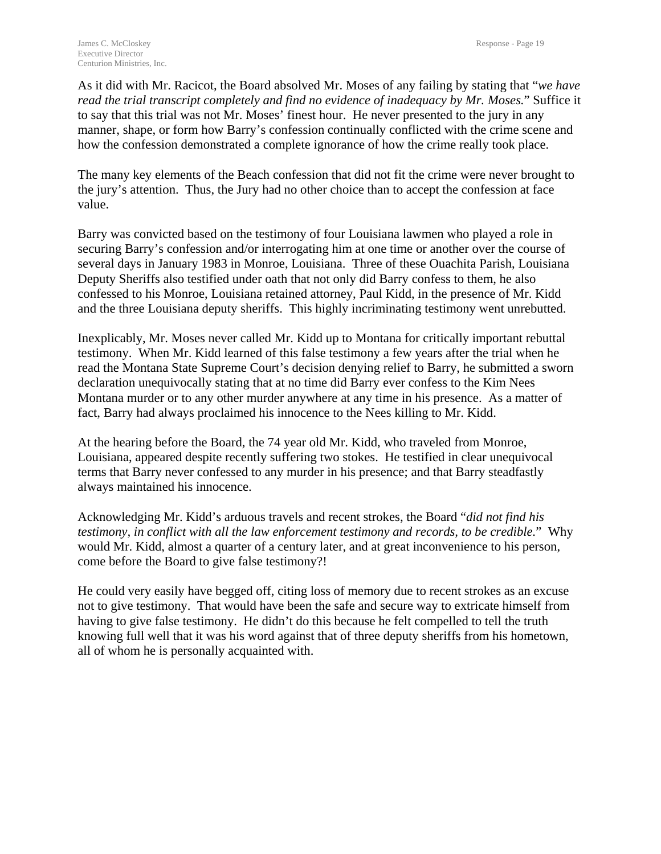As it did with Mr. Racicot, the Board absolved Mr. Moses of any failing by stating that "*we have read the trial transcript completely and find no evidence of inadequacy by Mr. Moses.*" Suffice it to say that this trial was not Mr. Moses' finest hour. He never presented to the jury in any manner, shape, or form how Barry's confession continually conflicted with the crime scene and how the confession demonstrated a complete ignorance of how the crime really took place.

The many key elements of the Beach confession that did not fit the crime were never brought to the jury's attention. Thus, the Jury had no other choice than to accept the confession at face value.

Barry was convicted based on the testimony of four Louisiana lawmen who played a role in securing Barry's confession and/or interrogating him at one time or another over the course of several days in January 1983 in Monroe, Louisiana. Three of these Ouachita Parish, Louisiana Deputy Sheriffs also testified under oath that not only did Barry confess to them, he also confessed to his Monroe, Louisiana retained attorney, Paul Kidd, in the presence of Mr. Kidd and the three Louisiana deputy sheriffs. This highly incriminating testimony went unrebutted.

Inexplicably, Mr. Moses never called Mr. Kidd up to Montana for critically important rebuttal testimony. When Mr. Kidd learned of this false testimony a few years after the trial when he read the Montana State Supreme Court's decision denying relief to Barry, he submitted a sworn declaration unequivocally stating that at no time did Barry ever confess to the Kim Nees Montana murder or to any other murder anywhere at any time in his presence. As a matter of fact, Barry had always proclaimed his innocence to the Nees killing to Mr. Kidd.

At the hearing before the Board, the 74 year old Mr. Kidd, who traveled from Monroe, Louisiana, appeared despite recently suffering two stokes. He testified in clear unequivocal terms that Barry never confessed to any murder in his presence; and that Barry steadfastly always maintained his innocence.

Acknowledging Mr. Kidd's arduous travels and recent strokes, the Board "*did not find his testimony, in conflict with all the law enforcement testimony and records, to be credible.*" Why would Mr. Kidd, almost a quarter of a century later, and at great inconvenience to his person, come before the Board to give false testimony?!

He could very easily have begged off, citing loss of memory due to recent strokes as an excuse not to give testimony. That would have been the safe and secure way to extricate himself from having to give false testimony. He didn't do this because he felt compelled to tell the truth knowing full well that it was his word against that of three deputy sheriffs from his hometown, all of whom he is personally acquainted with.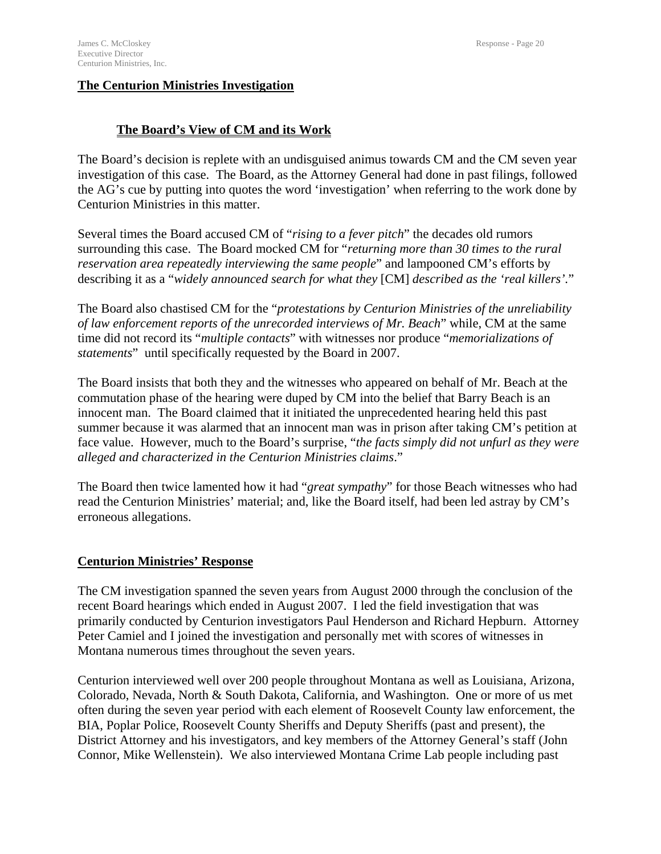# **The Centurion Ministries Investigation**

# **The Board's View of CM and its Work**

The Board's decision is replete with an undisguised animus towards CM and the CM seven year investigation of this case. The Board, as the Attorney General had done in past filings, followed the AG's cue by putting into quotes the word 'investigation' when referring to the work done by Centurion Ministries in this matter.

Several times the Board accused CM of "*rising to a fever pitch*" the decades old rumors surrounding this case. The Board mocked CM for "*returning more than 30 times to the rural reservation area repeatedly interviewing the same people*" and lampooned CM's efforts by describing it as a "*widely announced search for what they* [CM] *described as the 'real killers'.*"

The Board also chastised CM for the "*protestations by Centurion Ministries of the unreliability of law enforcement reports of the unrecorded interviews of Mr. Beach*" while, CM at the same time did not record its "*multiple contacts*" with witnesses nor produce "*memorializations of statements*" until specifically requested by the Board in 2007.

The Board insists that both they and the witnesses who appeared on behalf of Mr. Beach at the commutation phase of the hearing were duped by CM into the belief that Barry Beach is an innocent man. The Board claimed that it initiated the unprecedented hearing held this past summer because it was alarmed that an innocent man was in prison after taking CM's petition at face value. However, much to the Board's surprise, "*the facts simply did not unfurl as they were alleged and characterized in the Centurion Ministries claims*."

The Board then twice lamented how it had "*great sympathy*" for those Beach witnesses who had read the Centurion Ministries' material; and, like the Board itself, had been led astray by CM's erroneous allegations.

# **Centurion Ministries' Response**

The CM investigation spanned the seven years from August 2000 through the conclusion of the recent Board hearings which ended in August 2007. I led the field investigation that was primarily conducted by Centurion investigators Paul Henderson and Richard Hepburn. Attorney Peter Camiel and I joined the investigation and personally met with scores of witnesses in Montana numerous times throughout the seven years.

Centurion interviewed well over 200 people throughout Montana as well as Louisiana, Arizona, Colorado, Nevada, North & South Dakota, California, and Washington. One or more of us met often during the seven year period with each element of Roosevelt County law enforcement, the BIA, Poplar Police, Roosevelt County Sheriffs and Deputy Sheriffs (past and present), the District Attorney and his investigators, and key members of the Attorney General's staff (John Connor, Mike Wellenstein). We also interviewed Montana Crime Lab people including past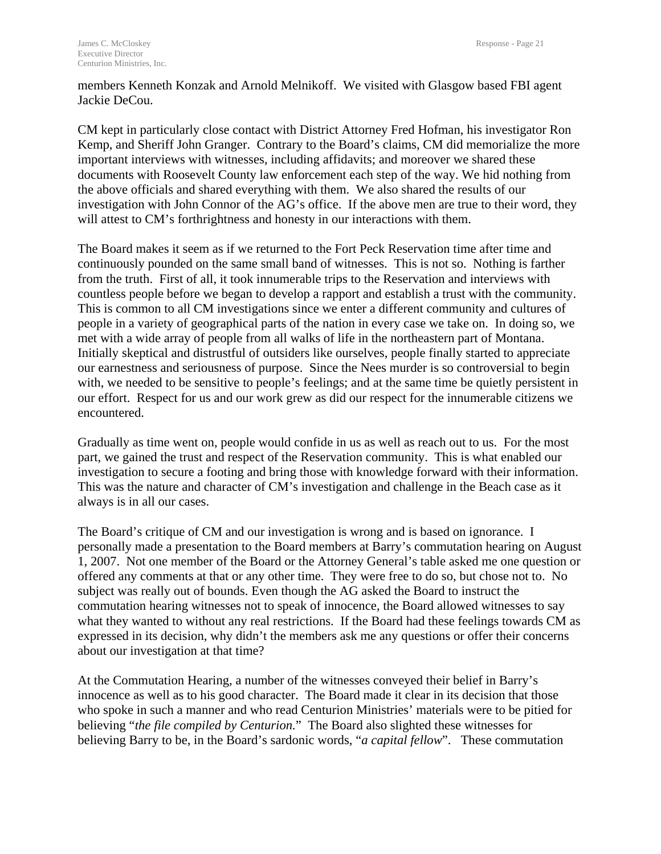members Kenneth Konzak and Arnold Melnikoff. We visited with Glasgow based FBI agent Jackie DeCou.

CM kept in particularly close contact with District Attorney Fred Hofman, his investigator Ron Kemp, and Sheriff John Granger. Contrary to the Board's claims, CM did memorialize the more important interviews with witnesses, including affidavits; and moreover we shared these documents with Roosevelt County law enforcement each step of the way. We hid nothing from the above officials and shared everything with them. We also shared the results of our investigation with John Connor of the AG's office. If the above men are true to their word, they will attest to CM's forthrightness and honesty in our interactions with them.

The Board makes it seem as if we returned to the Fort Peck Reservation time after time and continuously pounded on the same small band of witnesses. This is not so. Nothing is farther from the truth. First of all, it took innumerable trips to the Reservation and interviews with countless people before we began to develop a rapport and establish a trust with the community. This is common to all CM investigations since we enter a different community and cultures of people in a variety of geographical parts of the nation in every case we take on. In doing so, we met with a wide array of people from all walks of life in the northeastern part of Montana. Initially skeptical and distrustful of outsiders like ourselves, people finally started to appreciate our earnestness and seriousness of purpose. Since the Nees murder is so controversial to begin with, we needed to be sensitive to people's feelings; and at the same time be quietly persistent in our effort. Respect for us and our work grew as did our respect for the innumerable citizens we encountered.

Gradually as time went on, people would confide in us as well as reach out to us. For the most part, we gained the trust and respect of the Reservation community. This is what enabled our investigation to secure a footing and bring those with knowledge forward with their information. This was the nature and character of CM's investigation and challenge in the Beach case as it always is in all our cases.

The Board's critique of CM and our investigation is wrong and is based on ignorance. I personally made a presentation to the Board members at Barry's commutation hearing on August 1, 2007. Not one member of the Board or the Attorney General's table asked me one question or offered any comments at that or any other time. They were free to do so, but chose not to. No subject was really out of bounds. Even though the AG asked the Board to instruct the commutation hearing witnesses not to speak of innocence, the Board allowed witnesses to say what they wanted to without any real restrictions. If the Board had these feelings towards CM as expressed in its decision, why didn't the members ask me any questions or offer their concerns about our investigation at that time?

At the Commutation Hearing, a number of the witnesses conveyed their belief in Barry's innocence as well as to his good character. The Board made it clear in its decision that those who spoke in such a manner and who read Centurion Ministries' materials were to be pitied for believing "*the file compiled by Centurion.*" The Board also slighted these witnesses for believing Barry to be, in the Board's sardonic words, "*a capital fellow*". These commutation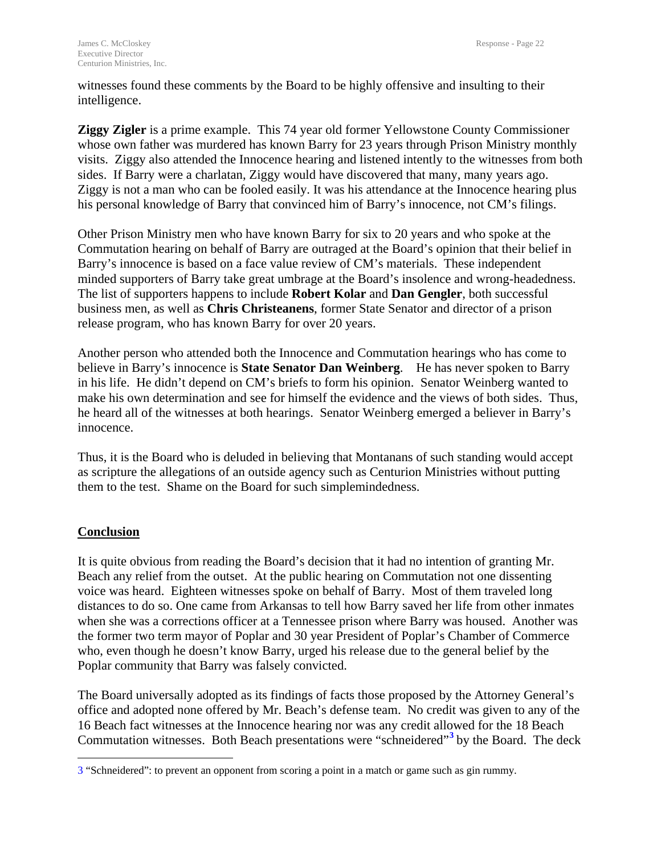witnesses found these comments by the Board to be highly offensive and insulting to their intelligence.

**Ziggy Zigler** is a prime example. This 74 year old former Yellowstone County Commissioner whose own father was murdered has known Barry for 23 years through Prison Ministry monthly visits. Ziggy also attended the Innocence hearing and listened intently to the witnesses from both sides. If Barry were a charlatan, Ziggy would have discovered that many, many years ago. Ziggy is not a man who can be fooled easily. It was his attendance at the Innocence hearing plus his personal knowledge of Barry that convinced him of Barry's innocence, not CM's filings.

Other Prison Ministry men who have known Barry for six to 20 years and who spoke at the Commutation hearing on behalf of Barry are outraged at the Board's opinion that their belief in Barry's innocence is based on a face value review of CM's materials. These independent minded supporters of Barry take great umbrage at the Board's insolence and wrong-headedness. The list of supporters happens to include **Robert Kolar** and **Dan Gengler**, both successful business men, as well as **Chris Christeanens**, former State Senator and director of a prison release program, who has known Barry for over 20 years.

Another person who attended both the Innocence and Commutation hearings who has come to believe in Barry's innocence is **State Senator Dan Weinberg**. He has never spoken to Barry in his life. He didn't depend on CM's briefs to form his opinion. Senator Weinberg wanted to make his own determination and see for himself the evidence and the views of both sides. Thus, he heard all of the witnesses at both hearings. Senator Weinberg emerged a believer in Barry's innocence.

Thus, it is the Board who is deluded in believing that Montanans of such standing would accept as scripture the allegations of an outside agency such as Centurion Ministries without putting them to the test. Shame on the Board for such simplemindedness.

# **Conclusion**

 $\overline{a}$ 

It is quite obvious from reading the Board's decision that it had no intention of granting Mr. Beach any relief from the outset. At the public hearing on Commutation not one dissenting voice was heard. Eighteen witnesses spoke on behalf of Barry. Most of them traveled long distances to do so. One came from Arkansas to tell how Barry saved her life from other inmates when she was a corrections officer at a Tennessee prison where Barry was housed. Another was the former two term mayor of Poplar and 30 year President of Poplar's Chamber of Commerce who, even though he doesn't know Barry, urged his release due to the general belief by the Poplar community that Barry was falsely convicted.

The Board universally adopted as its findings of facts those proposed by the Attorney General's office and adopted none offered by Mr. Beach's defense team. No credit was given to any of the 16 Beach fact witnesses at the Innocence hearing nor was any credit allowed for the 18 Beach Commutation witnesses. Both Beach presentations were "schneidered"**[3](#page-23-0)** by the Board. The deck

<span id="page-23-0"></span><sup>3 &</sup>quot;Schneidered": to prevent an opponent from scoring a point in a match or game such as gin rummy.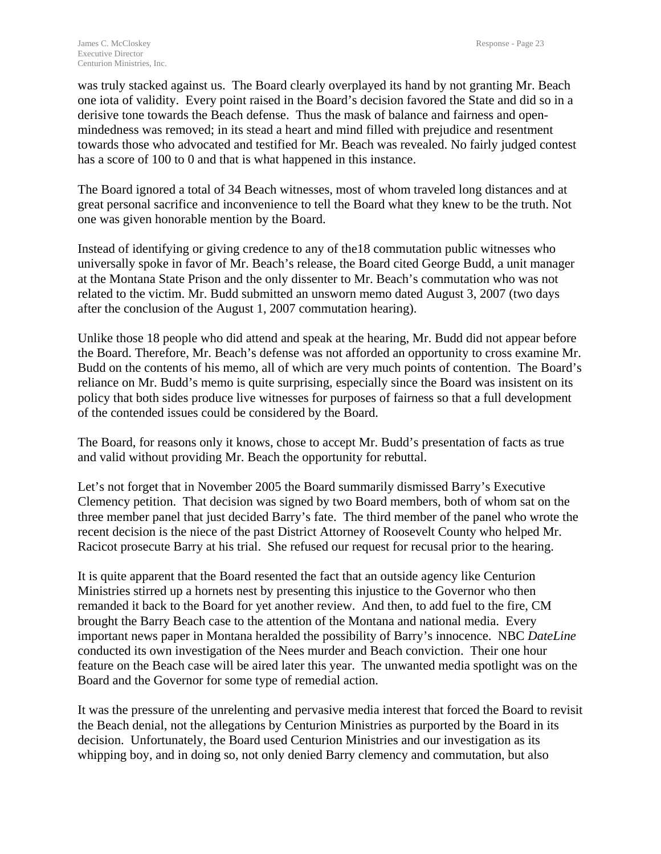was truly stacked against us. The Board clearly overplayed its hand by not granting Mr. Beach one iota of validity. Every point raised in the Board's decision favored the State and did so in a derisive tone towards the Beach defense. Thus the mask of balance and fairness and openmindedness was removed; in its stead a heart and mind filled with prejudice and resentment towards those who advocated and testified for Mr. Beach was revealed. No fairly judged contest has a score of 100 to 0 and that is what happened in this instance.

The Board ignored a total of 34 Beach witnesses, most of whom traveled long distances and at great personal sacrifice and inconvenience to tell the Board what they knew to be the truth. Not one was given honorable mention by the Board.

Instead of identifying or giving credence to any of the18 commutation public witnesses who universally spoke in favor of Mr. Beach's release, the Board cited George Budd, a unit manager at the Montana State Prison and the only dissenter to Mr. Beach's commutation who was not related to the victim. Mr. Budd submitted an unsworn memo dated August 3, 2007 (two days after the conclusion of the August 1, 2007 commutation hearing).

Unlike those 18 people who did attend and speak at the hearing, Mr. Budd did not appear before the Board. Therefore, Mr. Beach's defense was not afforded an opportunity to cross examine Mr. Budd on the contents of his memo, all of which are very much points of contention. The Board's reliance on Mr. Budd's memo is quite surprising, especially since the Board was insistent on its policy that both sides produce live witnesses for purposes of fairness so that a full development of the contended issues could be considered by the Board.

The Board, for reasons only it knows, chose to accept Mr. Budd's presentation of facts as true and valid without providing Mr. Beach the opportunity for rebuttal.

Let's not forget that in November 2005 the Board summarily dismissed Barry's Executive Clemency petition. That decision was signed by two Board members, both of whom sat on the three member panel that just decided Barry's fate. The third member of the panel who wrote the recent decision is the niece of the past District Attorney of Roosevelt County who helped Mr. Racicot prosecute Barry at his trial. She refused our request for recusal prior to the hearing.

It is quite apparent that the Board resented the fact that an outside agency like Centurion Ministries stirred up a hornets nest by presenting this injustice to the Governor who then remanded it back to the Board for yet another review. And then, to add fuel to the fire, CM brought the Barry Beach case to the attention of the Montana and national media. Every important news paper in Montana heralded the possibility of Barry's innocence. NBC *DateLine* conducted its own investigation of the Nees murder and Beach conviction. Their one hour feature on the Beach case will be aired later this year. The unwanted media spotlight was on the Board and the Governor for some type of remedial action.

It was the pressure of the unrelenting and pervasive media interest that forced the Board to revisit the Beach denial, not the allegations by Centurion Ministries as purported by the Board in its decision. Unfortunately, the Board used Centurion Ministries and our investigation as its whipping boy, and in doing so, not only denied Barry clemency and commutation, but also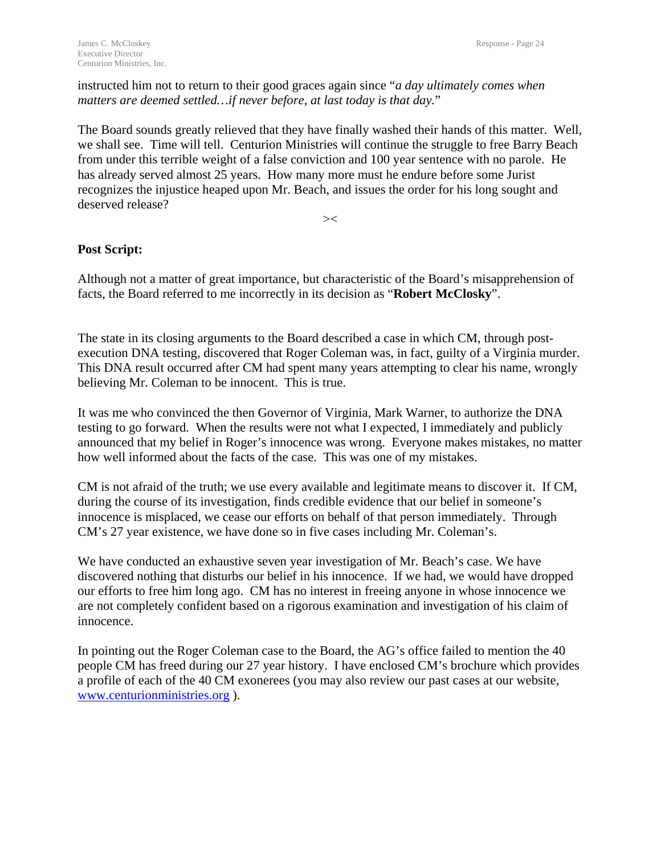instructed him not to return to their good graces again since "*a day ultimately comes when matters are deemed settled…if never before, at last today is that day.*"

The Board sounds greatly relieved that they have finally washed their hands of this matter. Well, we shall see. Time will tell. Centurion Ministries will continue the struggle to free Barry Beach from under this terrible weight of a false conviction and 100 year sentence with no parole. He has already served almost 25 years. How many more must he endure before some Jurist recognizes the injustice heaped upon Mr. Beach, and issues the order for his long sought and deserved release?

 $\prec$ 

# **Post Script:**

Although not a matter of great importance, but characteristic of the Board's misapprehension of facts, the Board referred to me incorrectly in its decision as "**Robert McClosky**".

The state in its closing arguments to the Board described a case in which CM, through postexecution DNA testing, discovered that Roger Coleman was, in fact, guilty of a Virginia murder. This DNA result occurred after CM had spent many years attempting to clear his name, wrongly believing Mr. Coleman to be innocent. This is true.

It was me who convinced the then Governor of Virginia, Mark Warner, to authorize the DNA testing to go forward. When the results were not what I expected, I immediately and publicly announced that my belief in Roger's innocence was wrong. Everyone makes mistakes, no matter how well informed about the facts of the case. This was one of my mistakes.

CM is not afraid of the truth; we use every available and legitimate means to discover it. If CM, during the course of its investigation, finds credible evidence that our belief in someone's innocence is misplaced, we cease our efforts on behalf of that person immediately. Through CM's 27 year existence, we have done so in five cases including Mr. Coleman's.

We have conducted an exhaustive seven year investigation of Mr. Beach's case. We have discovered nothing that disturbs our belief in his innocence. If we had, we would have dropped our efforts to free him long ago. CM has no interest in freeing anyone in whose innocence we are not completely confident based on a rigorous examination and investigation of his claim of innocence.

In pointing out the Roger Coleman case to the Board, the AG's office failed to mention the 40 people CM has freed during our 27 year history. I have enclosed CM's brochure which provides a profile of each of the 40 CM exonerees (you may also review our past cases at our website, [www.centurionministries.org](http://www.centurionministries.org/) ).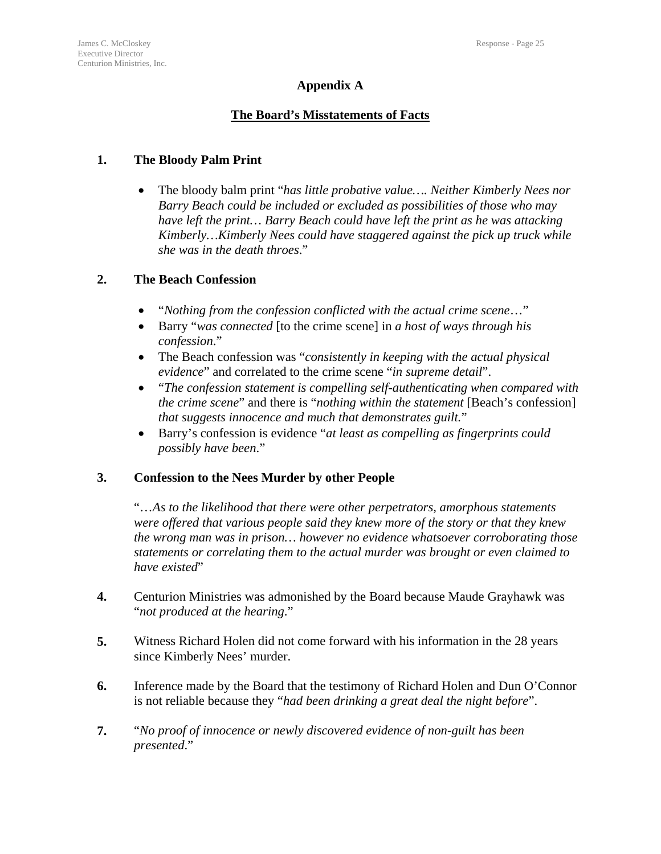# **Appendix A**

# **The Board's Misstatements of Facts**

# **1. The Bloody Palm Print**

• The bloody balm print "*has little probative value…. Neither Kimberly Nees nor Barry Beach could be included or excluded as possibilities of those who may have left the print… Barry Beach could have left the print as he was attacking Kimberly…Kimberly Nees could have staggered against the pick up truck while she was in the death throes*."

# **2. The Beach Confession**

- "*Nothing from the confession conflicted with the actual crime scene*…"
- Barry "*was connected* [to the crime scene] in *a host of ways through his confession*."
- The Beach confession was "*consistently in keeping with the actual physical evidence*" and correlated to the crime scene "*in supreme detail*".
- "*The confession statement is compelling self-authenticating when compared with the crime scene*" and there is "*nothing within the statement* [Beach's confession] *that suggests innocence and much that demonstrates guilt.*"
- Barry's confession is evidence "*at least as compelling as fingerprints could possibly have been*."

# **3. Confession to the Nees Murder by other People**

"…*As to the likelihood that there were other perpetrators, amorphous statements were offered that various people said they knew more of the story or that they knew the wrong man was in prison… however no evidence whatsoever corroborating those statements or correlating them to the actual murder was brought or even claimed to have existed*"

- **4.** Centurion Ministries was admonished by the Board because Maude Grayhawk was "*not produced at the hearing*."
- **5.** Witness Richard Holen did not come forward with his information in the 28 years since Kimberly Nees' murder.
- **6.** Inference made by the Board that the testimony of Richard Holen and Dun O'Connor is not reliable because they "*had been drinking a great deal the night before*".
- **7.** "*No proof of innocence or newly discovered evidence of non-guilt has been presented*."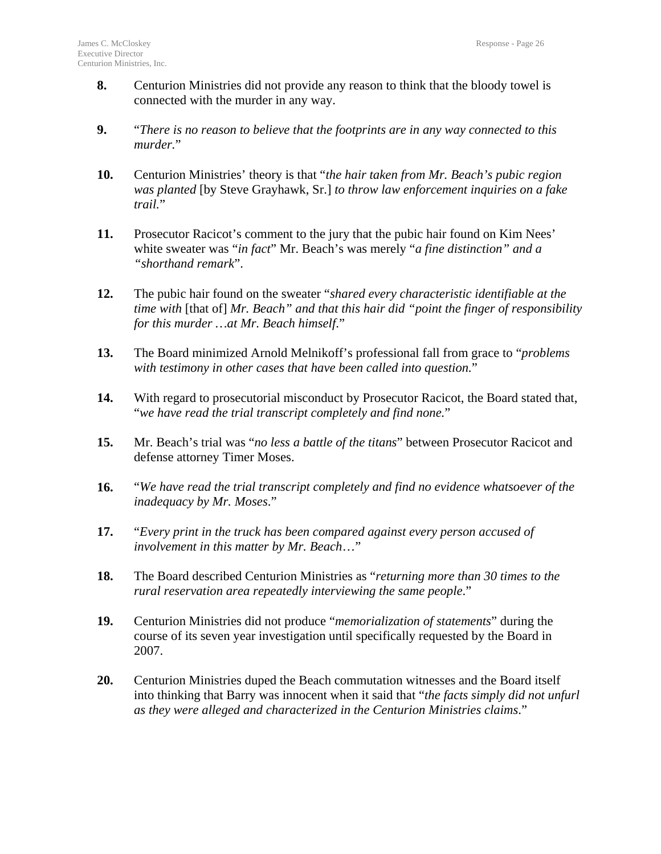- **8.** Centurion Ministries did not provide any reason to think that the bloody towel is connected with the murder in any way.
- **9.** "*There is no reason to believe that the footprints are in any way connected to this murder.*"
- **10.** Centurion Ministries' theory is that "*the hair taken from Mr. Beach's pubic region was planted* [by Steve Grayhawk, Sr.] *to throw law enforcement inquiries on a fake trail.*"
- **11.** Prosecutor Racicot's comment to the jury that the pubic hair found on Kim Nees' white sweater was "*in fact*" Mr. Beach's was merely "*a fine distinction" and a "shorthand remark*".
- **12.** The pubic hair found on the sweater "*shared every characteristic identifiable at the time with* [that of] *Mr. Beach" and that this hair did "point the finger of responsibility for this murder …at Mr. Beach himself*."
- **13.** The Board minimized Arnold Melnikoff's professional fall from grace to "*problems with testimony in other cases that have been called into question.*"
- **14.** With regard to prosecutorial misconduct by Prosecutor Racicot, the Board stated that, "*we have read the trial transcript completely and find none.*"
- **15.** Mr. Beach's trial was "*no less a battle of the titans*" between Prosecutor Racicot and defense attorney Timer Moses.
- **16.** "*We have read the trial transcript completely and find no evidence whatsoever of the inadequacy by Mr. Moses*."
- **17.** "*Every print in the truck has been compared against every person accused of involvement in this matter by Mr. Beach*…"
- **18.** The Board described Centurion Ministries as "*returning more than 30 times to the rural reservation area repeatedly interviewing the same people*."
- **19.** Centurion Ministries did not produce "*memorialization of statements*" during the course of its seven year investigation until specifically requested by the Board in 2007.
- **20.** Centurion Ministries duped the Beach commutation witnesses and the Board itself into thinking that Barry was innocent when it said that "*the facts simply did not unfurl as they were alleged and characterized in the Centurion Ministries claims*."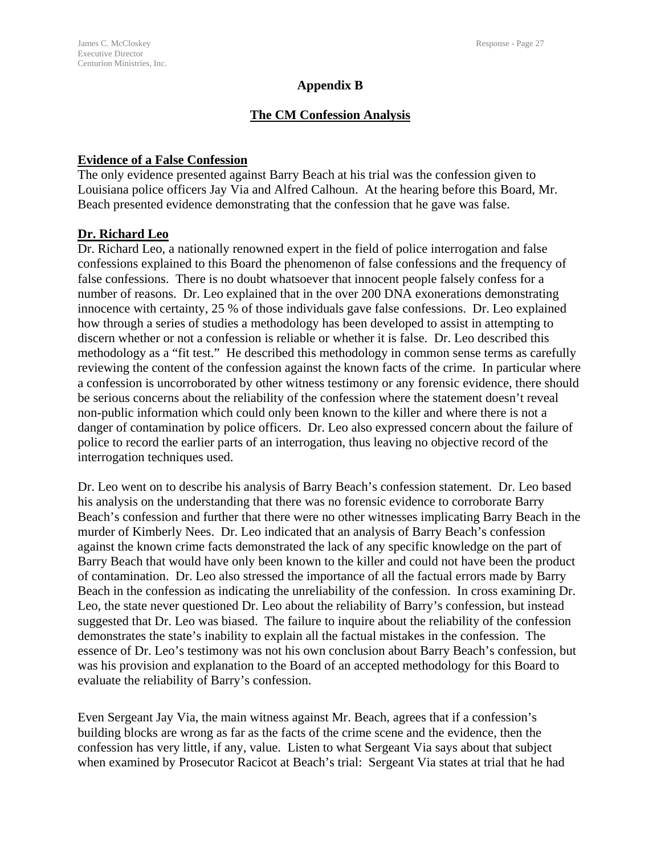#### **Appendix B**

# **The CM Confession Analysis**

#### **Evidence of a False Confession**

The only evidence presented against Barry Beach at his trial was the confession given to Louisiana police officers Jay Via and Alfred Calhoun. At the hearing before this Board, Mr. Beach presented evidence demonstrating that the confession that he gave was false.

#### **Dr. Richard Leo**

Dr. Richard Leo, a nationally renowned expert in the field of police interrogation and false confessions explained to this Board the phenomenon of false confessions and the frequency of false confessions. There is no doubt whatsoever that innocent people falsely confess for a number of reasons. Dr. Leo explained that in the over 200 DNA exonerations demonstrating innocence with certainty, 25 % of those individuals gave false confessions. Dr. Leo explained how through a series of studies a methodology has been developed to assist in attempting to discern whether or not a confession is reliable or whether it is false. Dr. Leo described this methodology as a "fit test." He described this methodology in common sense terms as carefully reviewing the content of the confession against the known facts of the crime. In particular where a confession is uncorroborated by other witness testimony or any forensic evidence, there should be serious concerns about the reliability of the confession where the statement doesn't reveal non-public information which could only been known to the killer and where there is not a danger of contamination by police officers. Dr. Leo also expressed concern about the failure of police to record the earlier parts of an interrogation, thus leaving no objective record of the interrogation techniques used.

Dr. Leo went on to describe his analysis of Barry Beach's confession statement. Dr. Leo based his analysis on the understanding that there was no forensic evidence to corroborate Barry Beach's confession and further that there were no other witnesses implicating Barry Beach in the murder of Kimberly Nees. Dr. Leo indicated that an analysis of Barry Beach's confession against the known crime facts demonstrated the lack of any specific knowledge on the part of Barry Beach that would have only been known to the killer and could not have been the product of contamination. Dr. Leo also stressed the importance of all the factual errors made by Barry Beach in the confession as indicating the unreliability of the confession. In cross examining Dr. Leo, the state never questioned Dr. Leo about the reliability of Barry's confession, but instead suggested that Dr. Leo was biased. The failure to inquire about the reliability of the confession demonstrates the state's inability to explain all the factual mistakes in the confession. The essence of Dr. Leo's testimony was not his own conclusion about Barry Beach's confession, but was his provision and explanation to the Board of an accepted methodology for this Board to evaluate the reliability of Barry's confession.

Even Sergeant Jay Via, the main witness against Mr. Beach, agrees that if a confession's building blocks are wrong as far as the facts of the crime scene and the evidence, then the confession has very little, if any, value. Listen to what Sergeant Via says about that subject when examined by Prosecutor Racicot at Beach's trial: Sergeant Via states at trial that he had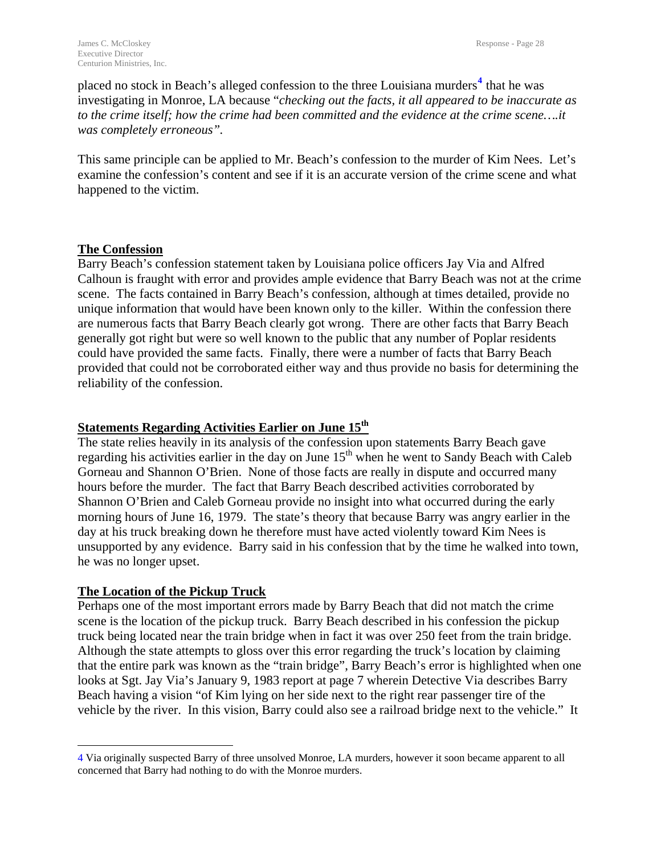placed no stock in Beach's alleged confession to the three Louisiana murders<sup>[4](#page-29-0)</sup> that he was investigating in Monroe, LA because "*checking out the facts, it all appeared to be inaccurate as to the crime itself; how the crime had been committed and the evidence at the crime scene….it was completely erroneous".* 

This same principle can be applied to Mr. Beach's confession to the murder of Kim Nees. Let's examine the confession's content and see if it is an accurate version of the crime scene and what happened to the victim.

#### **The Confession**

Barry Beach's confession statement taken by Louisiana police officers Jay Via and Alfred Calhoun is fraught with error and provides ample evidence that Barry Beach was not at the crime scene. The facts contained in Barry Beach's confession, although at times detailed, provide no unique information that would have been known only to the killer. Within the confession there are numerous facts that Barry Beach clearly got wrong. There are other facts that Barry Beach generally got right but were so well known to the public that any number of Poplar residents could have provided the same facts. Finally, there were a number of facts that Barry Beach provided that could not be corroborated either way and thus provide no basis for determining the reliability of the confession.

#### **Statements Regarding Activities Earlier on June 15th**

The state relies heavily in its analysis of the confession upon statements Barry Beach gave regarding his activities earlier in the day on June  $15<sup>th</sup>$  when he went to Sandy Beach with Caleb Gorneau and Shannon O'Brien. None of those facts are really in dispute and occurred many hours before the murder. The fact that Barry Beach described activities corroborated by Shannon O'Brien and Caleb Gorneau provide no insight into what occurred during the early morning hours of June 16, 1979. The state's theory that because Barry was angry earlier in the day at his truck breaking down he therefore must have acted violently toward Kim Nees is unsupported by any evidence. Barry said in his confession that by the time he walked into town, he was no longer upset.

# **The Location of the Pickup Truck**

 $\overline{a}$ 

Perhaps one of the most important errors made by Barry Beach that did not match the crime scene is the location of the pickup truck. Barry Beach described in his confession the pickup truck being located near the train bridge when in fact it was over 250 feet from the train bridge. Although the state attempts to gloss over this error regarding the truck's location by claiming that the entire park was known as the "train bridge", Barry Beach's error is highlighted when one looks at Sgt. Jay Via's January 9, 1983 report at page 7 wherein Detective Via describes Barry Beach having a vision "of Kim lying on her side next to the right rear passenger tire of the vehicle by the river. In this vision, Barry could also see a railroad bridge next to the vehicle." It

<span id="page-29-0"></span><sup>4</sup> Via originally suspected Barry of three unsolved Monroe, LA murders, however it soon became apparent to all concerned that Barry had nothing to do with the Monroe murders.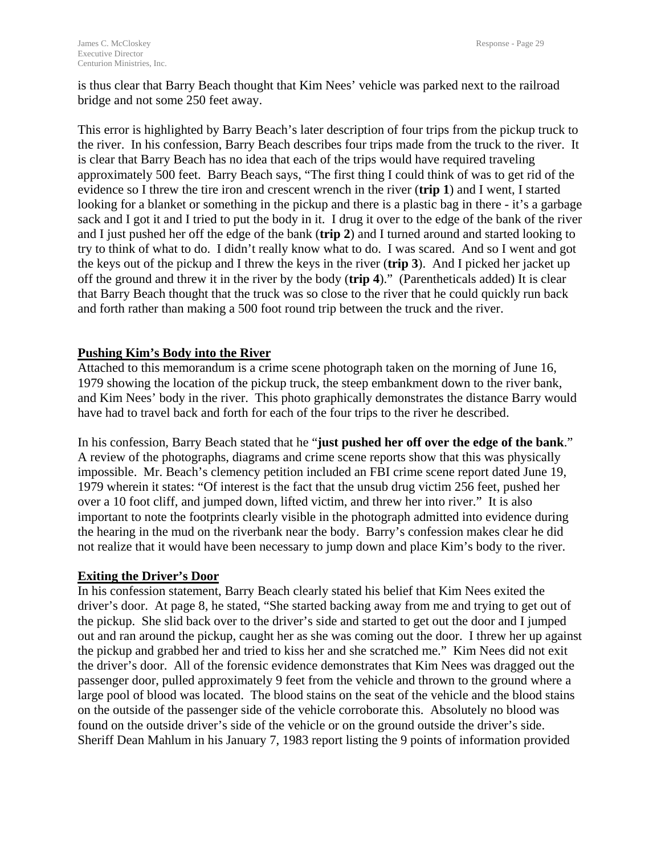is thus clear that Barry Beach thought that Kim Nees' vehicle was parked next to the railroad bridge and not some 250 feet away.

This error is highlighted by Barry Beach's later description of four trips from the pickup truck to the river. In his confession, Barry Beach describes four trips made from the truck to the river. It is clear that Barry Beach has no idea that each of the trips would have required traveling approximately 500 feet. Barry Beach says, "The first thing I could think of was to get rid of the evidence so I threw the tire iron and crescent wrench in the river (**trip 1**) and I went, I started looking for a blanket or something in the pickup and there is a plastic bag in there - it's a garbage sack and I got it and I tried to put the body in it. I drug it over to the edge of the bank of the river and I just pushed her off the edge of the bank (**trip 2**) and I turned around and started looking to try to think of what to do. I didn't really know what to do. I was scared. And so I went and got the keys out of the pickup and I threw the keys in the river (**trip 3**). And I picked her jacket up off the ground and threw it in the river by the body (**trip 4**)." (Parentheticals added) It is clear that Barry Beach thought that the truck was so close to the river that he could quickly run back and forth rather than making a 500 foot round trip between the truck and the river.

# **Pushing Kim's Body into the River**

Attached to this memorandum is a crime scene photograph taken on the morning of June 16, 1979 showing the location of the pickup truck, the steep embankment down to the river bank, and Kim Nees' body in the river. This photo graphically demonstrates the distance Barry would have had to travel back and forth for each of the four trips to the river he described.

In his confession, Barry Beach stated that he "**just pushed her off over the edge of the bank**." A review of the photographs, diagrams and crime scene reports show that this was physically impossible. Mr. Beach's clemency petition included an FBI crime scene report dated June 19, 1979 wherein it states: "Of interest is the fact that the unsub drug victim 256 feet, pushed her over a 10 foot cliff, and jumped down, lifted victim, and threw her into river." It is also important to note the footprints clearly visible in the photograph admitted into evidence during the hearing in the mud on the riverbank near the body. Barry's confession makes clear he did not realize that it would have been necessary to jump down and place Kim's body to the river.

#### **Exiting the Driver's Door**

In his confession statement, Barry Beach clearly stated his belief that Kim Nees exited the driver's door. At page 8, he stated, "She started backing away from me and trying to get out of the pickup. She slid back over to the driver's side and started to get out the door and I jumped out and ran around the pickup, caught her as she was coming out the door. I threw her up against the pickup and grabbed her and tried to kiss her and she scratched me." Kim Nees did not exit the driver's door. All of the forensic evidence demonstrates that Kim Nees was dragged out the passenger door, pulled approximately 9 feet from the vehicle and thrown to the ground where a large pool of blood was located. The blood stains on the seat of the vehicle and the blood stains on the outside of the passenger side of the vehicle corroborate this. Absolutely no blood was found on the outside driver's side of the vehicle or on the ground outside the driver's side. Sheriff Dean Mahlum in his January 7, 1983 report listing the 9 points of information provided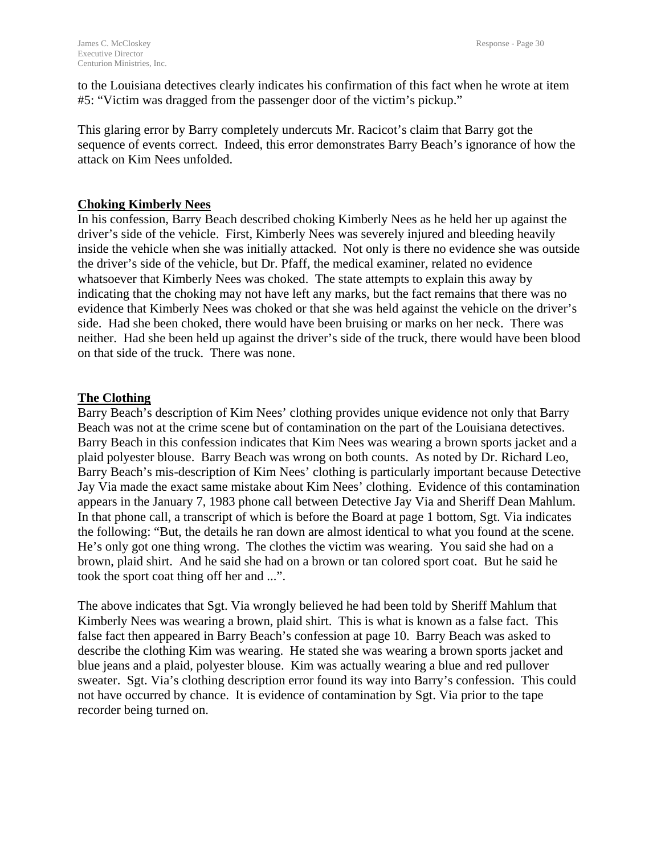to the Louisiana detectives clearly indicates his confirmation of this fact when he wrote at item #5: "Victim was dragged from the passenger door of the victim's pickup."

This glaring error by Barry completely undercuts Mr. Racicot's claim that Barry got the sequence of events correct. Indeed, this error demonstrates Barry Beach's ignorance of how the attack on Kim Nees unfolded.

#### **Choking Kimberly Nees**

In his confession, Barry Beach described choking Kimberly Nees as he held her up against the driver's side of the vehicle. First, Kimberly Nees was severely injured and bleeding heavily inside the vehicle when she was initially attacked. Not only is there no evidence she was outside the driver's side of the vehicle, but Dr. Pfaff, the medical examiner, related no evidence whatsoever that Kimberly Nees was choked. The state attempts to explain this away by indicating that the choking may not have left any marks, but the fact remains that there was no evidence that Kimberly Nees was choked or that she was held against the vehicle on the driver's side. Had she been choked, there would have been bruising or marks on her neck. There was neither. Had she been held up against the driver's side of the truck, there would have been blood on that side of the truck. There was none.

#### **The Clothing**

Barry Beach's description of Kim Nees' clothing provides unique evidence not only that Barry Beach was not at the crime scene but of contamination on the part of the Louisiana detectives. Barry Beach in this confession indicates that Kim Nees was wearing a brown sports jacket and a plaid polyester blouse. Barry Beach was wrong on both counts. As noted by Dr. Richard Leo, Barry Beach's mis-description of Kim Nees' clothing is particularly important because Detective Jay Via made the exact same mistake about Kim Nees' clothing. Evidence of this contamination appears in the January 7, 1983 phone call between Detective Jay Via and Sheriff Dean Mahlum. In that phone call, a transcript of which is before the Board at page 1 bottom, Sgt. Via indicates the following: "But, the details he ran down are almost identical to what you found at the scene. He's only got one thing wrong. The clothes the victim was wearing. You said she had on a brown, plaid shirt. And he said she had on a brown or tan colored sport coat. But he said he took the sport coat thing off her and ...".

The above indicates that Sgt. Via wrongly believed he had been told by Sheriff Mahlum that Kimberly Nees was wearing a brown, plaid shirt. This is what is known as a false fact. This false fact then appeared in Barry Beach's confession at page 10. Barry Beach was asked to describe the clothing Kim was wearing. He stated she was wearing a brown sports jacket and blue jeans and a plaid, polyester blouse. Kim was actually wearing a blue and red pullover sweater. Sgt. Via's clothing description error found its way into Barry's confession. This could not have occurred by chance. It is evidence of contamination by Sgt. Via prior to the tape recorder being turned on.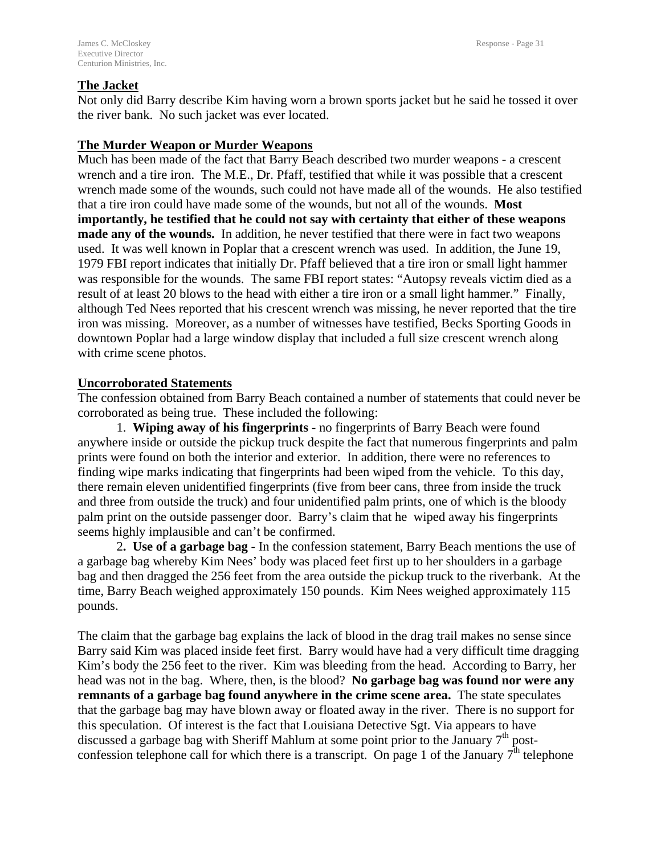#### **The Jacket**

Not only did Barry describe Kim having worn a brown sports jacket but he said he tossed it over the river bank. No such jacket was ever located.

#### **The Murder Weapon or Murder Weapons**

Much has been made of the fact that Barry Beach described two murder weapons - a crescent wrench and a tire iron. The M.E., Dr. Pfaff, testified that while it was possible that a crescent wrench made some of the wounds, such could not have made all of the wounds. He also testified that a tire iron could have made some of the wounds, but not all of the wounds. **Most importantly, he testified that he could not say with certainty that either of these weapons made any of the wounds.** In addition, he never testified that there were in fact two weapons used. It was well known in Poplar that a crescent wrench was used. In addition, the June 19, 1979 FBI report indicates that initially Dr. Pfaff believed that a tire iron or small light hammer was responsible for the wounds. The same FBI report states: "Autopsy reveals victim died as a result of at least 20 blows to the head with either a tire iron or a small light hammer." Finally, although Ted Nees reported that his crescent wrench was missing, he never reported that the tire iron was missing. Moreover, as a number of witnesses have testified, Becks Sporting Goods in downtown Poplar had a large window display that included a full size crescent wrench along with crime scene photos.

#### **Uncorroborated Statements**

The confession obtained from Barry Beach contained a number of statements that could never be corroborated as being true. These included the following:

1. **Wiping away of his fingerprints** - no fingerprints of Barry Beach were found anywhere inside or outside the pickup truck despite the fact that numerous fingerprints and palm prints were found on both the interior and exterior. In addition, there were no references to finding wipe marks indicating that fingerprints had been wiped from the vehicle. To this day, there remain eleven unidentified fingerprints (five from beer cans, three from inside the truck and three from outside the truck) and four unidentified palm prints, one of which is the bloody palm print on the outside passenger door. Barry's claim that he wiped away his fingerprints seems highly implausible and can't be confirmed.

2**. Use of a garbage bag** - In the confession statement, Barry Beach mentions the use of a garbage bag whereby Kim Nees' body was placed feet first up to her shoulders in a garbage bag and then dragged the 256 feet from the area outside the pickup truck to the riverbank. At the time, Barry Beach weighed approximately 150 pounds. Kim Nees weighed approximately 115 pounds.

The claim that the garbage bag explains the lack of blood in the drag trail makes no sense since Barry said Kim was placed inside feet first. Barry would have had a very difficult time dragging Kim's body the 256 feet to the river. Kim was bleeding from the head. According to Barry, her head was not in the bag. Where, then, is the blood? **No garbage bag was found nor were any remnants of a garbage bag found anywhere in the crime scene area.** The state speculates that the garbage bag may have blown away or floated away in the river. There is no support for this speculation. Of interest is the fact that Louisiana Detective Sgt. Via appears to have discussed a garbage bag with Sheriff Mahlum at some point prior to the January  $7<sup>th</sup>$  postconfession telephone call for which there is a transcript. On page 1 of the January  $7<sup>th</sup>$  telephone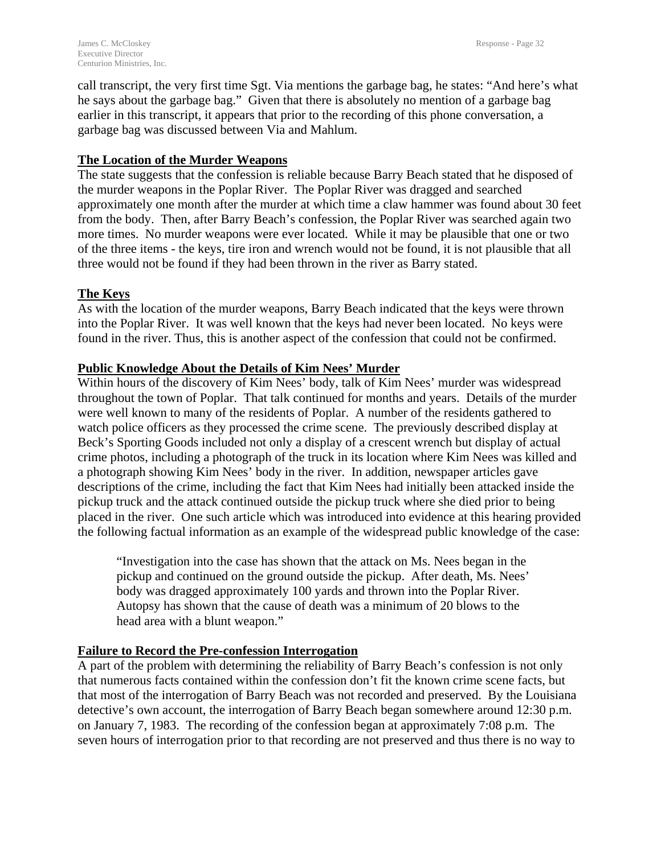call transcript, the very first time Sgt. Via mentions the garbage bag, he states: "And here's what he says about the garbage bag." Given that there is absolutely no mention of a garbage bag earlier in this transcript, it appears that prior to the recording of this phone conversation, a garbage bag was discussed between Via and Mahlum.

#### **The Location of the Murder Weapons**

The state suggests that the confession is reliable because Barry Beach stated that he disposed of the murder weapons in the Poplar River. The Poplar River was dragged and searched approximately one month after the murder at which time a claw hammer was found about 30 feet from the body. Then, after Barry Beach's confession, the Poplar River was searched again two more times. No murder weapons were ever located. While it may be plausible that one or two of the three items - the keys, tire iron and wrench would not be found, it is not plausible that all three would not be found if they had been thrown in the river as Barry stated.

# **The Keys**

As with the location of the murder weapons, Barry Beach indicated that the keys were thrown into the Poplar River. It was well known that the keys had never been located. No keys were found in the river. Thus, this is another aspect of the confession that could not be confirmed.

# **Public Knowledge About the Details of Kim Nees' Murder**

Within hours of the discovery of Kim Nees' body, talk of Kim Nees' murder was widespread throughout the town of Poplar. That talk continued for months and years. Details of the murder were well known to many of the residents of Poplar. A number of the residents gathered to watch police officers as they processed the crime scene. The previously described display at Beck's Sporting Goods included not only a display of a crescent wrench but display of actual crime photos, including a photograph of the truck in its location where Kim Nees was killed and a photograph showing Kim Nees' body in the river. In addition, newspaper articles gave descriptions of the crime, including the fact that Kim Nees had initially been attacked inside the pickup truck and the attack continued outside the pickup truck where she died prior to being placed in the river. One such article which was introduced into evidence at this hearing provided the following factual information as an example of the widespread public knowledge of the case:

"Investigation into the case has shown that the attack on Ms. Nees began in the pickup and continued on the ground outside the pickup. After death, Ms. Nees' body was dragged approximately 100 yards and thrown into the Poplar River. Autopsy has shown that the cause of death was a minimum of 20 blows to the head area with a blunt weapon."

# **Failure to Record the Pre-confession Interrogation**

A part of the problem with determining the reliability of Barry Beach's confession is not only that numerous facts contained within the confession don't fit the known crime scene facts, but that most of the interrogation of Barry Beach was not recorded and preserved. By the Louisiana detective's own account, the interrogation of Barry Beach began somewhere around 12:30 p.m. on January 7, 1983. The recording of the confession began at approximately 7:08 p.m. The seven hours of interrogation prior to that recording are not preserved and thus there is no way to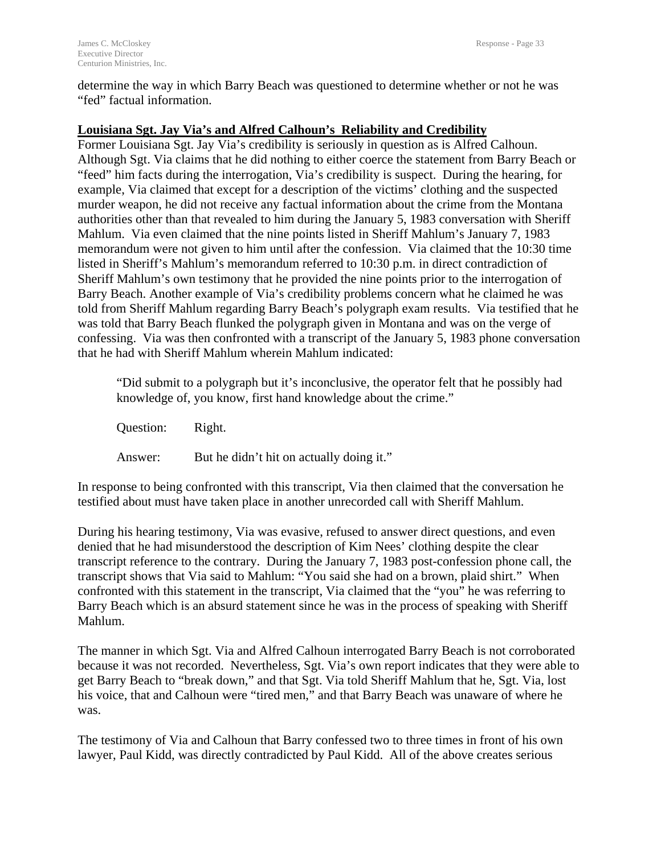determine the way in which Barry Beach was questioned to determine whether or not he was "fed" factual information.

#### **Louisiana Sgt. Jay Via's and Alfred Calhoun's Reliability and Credibility**

Former Louisiana Sgt. Jay Via's credibility is seriously in question as is Alfred Calhoun. Although Sgt. Via claims that he did nothing to either coerce the statement from Barry Beach or "feed" him facts during the interrogation, Via's credibility is suspect. During the hearing, for example, Via claimed that except for a description of the victims' clothing and the suspected murder weapon, he did not receive any factual information about the crime from the Montana authorities other than that revealed to him during the January 5, 1983 conversation with Sheriff Mahlum. Via even claimed that the nine points listed in Sheriff Mahlum's January 7, 1983 memorandum were not given to him until after the confession. Via claimed that the 10:30 time listed in Sheriff's Mahlum's memorandum referred to 10:30 p.m. in direct contradiction of Sheriff Mahlum's own testimony that he provided the nine points prior to the interrogation of Barry Beach. Another example of Via's credibility problems concern what he claimed he was told from Sheriff Mahlum regarding Barry Beach's polygraph exam results. Via testified that he was told that Barry Beach flunked the polygraph given in Montana and was on the verge of confessing. Via was then confronted with a transcript of the January 5, 1983 phone conversation that he had with Sheriff Mahlum wherein Mahlum indicated:

"Did submit to a polygraph but it's inconclusive, the operator felt that he possibly had knowledge of, you know, first hand knowledge about the crime."

Question: Right.

Answer: But he didn't hit on actually doing it."

In response to being confronted with this transcript, Via then claimed that the conversation he testified about must have taken place in another unrecorded call with Sheriff Mahlum.

During his hearing testimony, Via was evasive, refused to answer direct questions, and even denied that he had misunderstood the description of Kim Nees' clothing despite the clear transcript reference to the contrary. During the January 7, 1983 post-confession phone call, the transcript shows that Via said to Mahlum: "You said she had on a brown, plaid shirt." When confronted with this statement in the transcript, Via claimed that the "you" he was referring to Barry Beach which is an absurd statement since he was in the process of speaking with Sheriff Mahlum.

The manner in which Sgt. Via and Alfred Calhoun interrogated Barry Beach is not corroborated because it was not recorded. Nevertheless, Sgt. Via's own report indicates that they were able to get Barry Beach to "break down," and that Sgt. Via told Sheriff Mahlum that he, Sgt. Via, lost his voice, that and Calhoun were "tired men," and that Barry Beach was unaware of where he was.

The testimony of Via and Calhoun that Barry confessed two to three times in front of his own lawyer, Paul Kidd, was directly contradicted by Paul Kidd. All of the above creates serious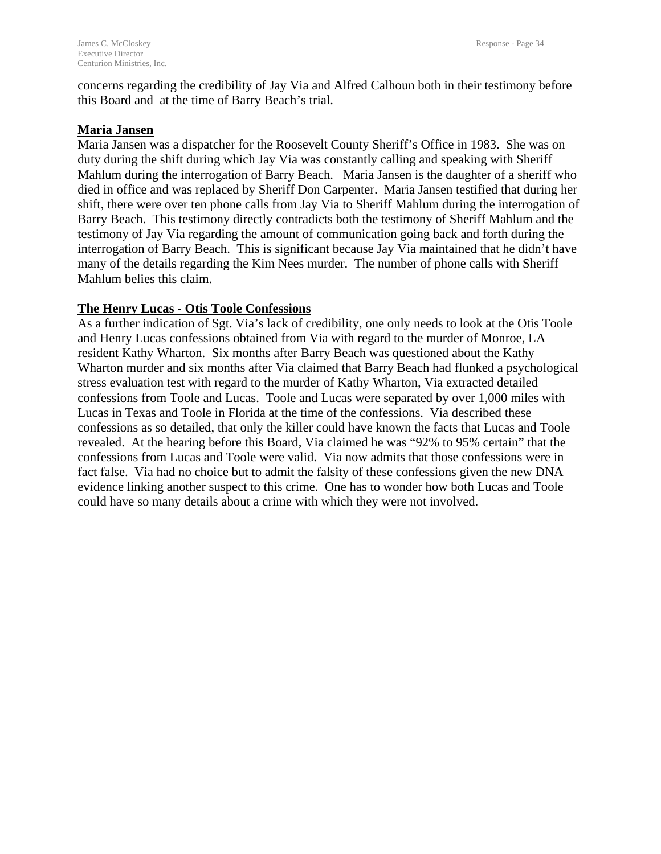concerns regarding the credibility of Jay Via and Alfred Calhoun both in their testimony before this Board and at the time of Barry Beach's trial.

# **Maria Jansen**

Maria Jansen was a dispatcher for the Roosevelt County Sheriff's Office in 1983. She was on duty during the shift during which Jay Via was constantly calling and speaking with Sheriff Mahlum during the interrogation of Barry Beach. Maria Jansen is the daughter of a sheriff who died in office and was replaced by Sheriff Don Carpenter. Maria Jansen testified that during her shift, there were over ten phone calls from Jay Via to Sheriff Mahlum during the interrogation of Barry Beach. This testimony directly contradicts both the testimony of Sheriff Mahlum and the testimony of Jay Via regarding the amount of communication going back and forth during the interrogation of Barry Beach. This is significant because Jay Via maintained that he didn't have many of the details regarding the Kim Nees murder. The number of phone calls with Sheriff Mahlum belies this claim.

#### **The Henry Lucas - Otis Toole Confessions**

As a further indication of Sgt. Via's lack of credibility, one only needs to look at the Otis Toole and Henry Lucas confessions obtained from Via with regard to the murder of Monroe, LA resident Kathy Wharton. Six months after Barry Beach was questioned about the Kathy Wharton murder and six months after Via claimed that Barry Beach had flunked a psychological stress evaluation test with regard to the murder of Kathy Wharton, Via extracted detailed confessions from Toole and Lucas. Toole and Lucas were separated by over 1,000 miles with Lucas in Texas and Toole in Florida at the time of the confessions. Via described these confessions as so detailed, that only the killer could have known the facts that Lucas and Toole revealed. At the hearing before this Board, Via claimed he was "92% to 95% certain" that the confessions from Lucas and Toole were valid. Via now admits that those confessions were in fact false. Via had no choice but to admit the falsity of these confessions given the new DNA evidence linking another suspect to this crime. One has to wonder how both Lucas and Toole could have so many details about a crime with which they were not involved.